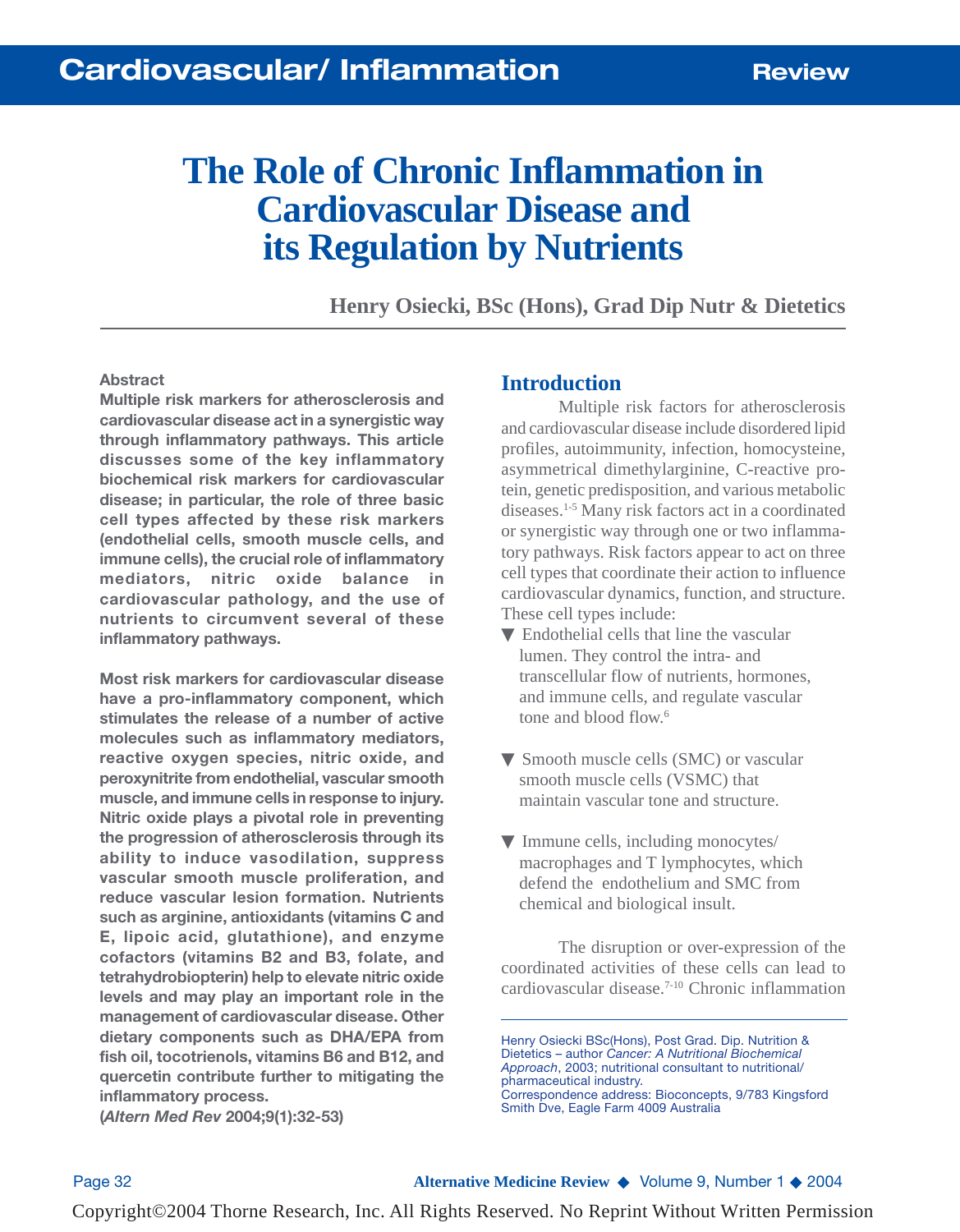# **The Role of Chronic Inflammation in Cardiovascular Disease and its Regulation by Nutrients**

**Henry Osiecki, BSc (Hons), Grad Dip Nutr & Dietetics**

#### **Abstract**

**Multiple risk markers for atherosclerosis and cardiovascular disease act in a synergistic way through inflammatory pathways. This article discusses some of the key inflammatory biochemical risk markers for cardiovascular disease; in particular, the role of three basic cell types affected by these risk markers (endothelial cells, smooth muscle cells, and immune cells), the crucial role of inflammatory mediators, nitric oxide balance in cardiovascular pathology, and the use of nutrients to circumvent several of these inflammatory pathways.**

**Most risk markers for cardiovascular disease have a pro-inflammatory component, which stimulates the release of a number of active molecules such as inflammatory mediators, reactive oxygen species, nitric oxide, and peroxynitrite from endothelial, vascular smooth muscle, and immune cells in response to injury. Nitric oxide plays a pivotal role in preventing the progression of atherosclerosis through its ability to induce vasodilation, suppress vascular smooth muscle proliferation, and reduce vascular lesion formation. Nutrients such as arginine, antioxidants (vitamins C and E, lipoic acid, glutathione), and enzyme cofactors (vitamins B2 and B3, folate, and tetrahydrobiopterin) help to elevate nitric oxide levels and may play an important role in the management of cardiovascular disease. Other dietary components such as DHA/EPA from fish oil, tocotrienols, vitamins B6 and B12, and quercetin contribute further to mitigating the inflammatory process.**

#### **Introduction**

Multiple risk factors for atherosclerosis and cardiovascular disease include disordered lipid profiles, autoimmunity, infection, homocysteine, asymmetrical dimethylarginine, C-reactive protein, genetic predisposition, and various metabolic diseases.1-5 Many risk factors act in a coordinated or synergistic way through one or two inflammatory pathways. Risk factors appear to act on three cell types that coordinate their action to influence cardiovascular dynamics, function, and structure. These cell types include:

- $\nabla$  Endothelial cells that line the vascular lumen. They control the intra- and transcellular flow of nutrients, hormones, and immune cells, and regulate vascular tone and blood flow.<sup>6</sup>
- ▼ Smooth muscle cells (SMC) or vascular smooth muscle cells (VSMC) that maintain vascular tone and structure.
- ▼ Immune cells, including monocytes/ macrophages and T lymphocytes, which defend the endothelium and SMC from chemical and biological insult.

The disruption or over-expression of the coordinated activities of these cells can lead to cardiovascular disease.7-10 Chronic inflammation

**(***Altern Med Rev* **2004;9(1):32-53)**

Page 32 **Alternative Medicine Review** ◆ Volume 9, Number 1 ◆ 2004

Henry Osiecki BSc(Hons), Post Grad. Dip. Nutrition & Dietetics – author *Cancer: A Nutritional Biochemical Approach*, 2003; nutritional consultant to nutritional/ pharmaceutical industry. Correspondence address: Bioconcepts, 9/783 Kingsford Smith Dve, Eagle Farm 4009 Australia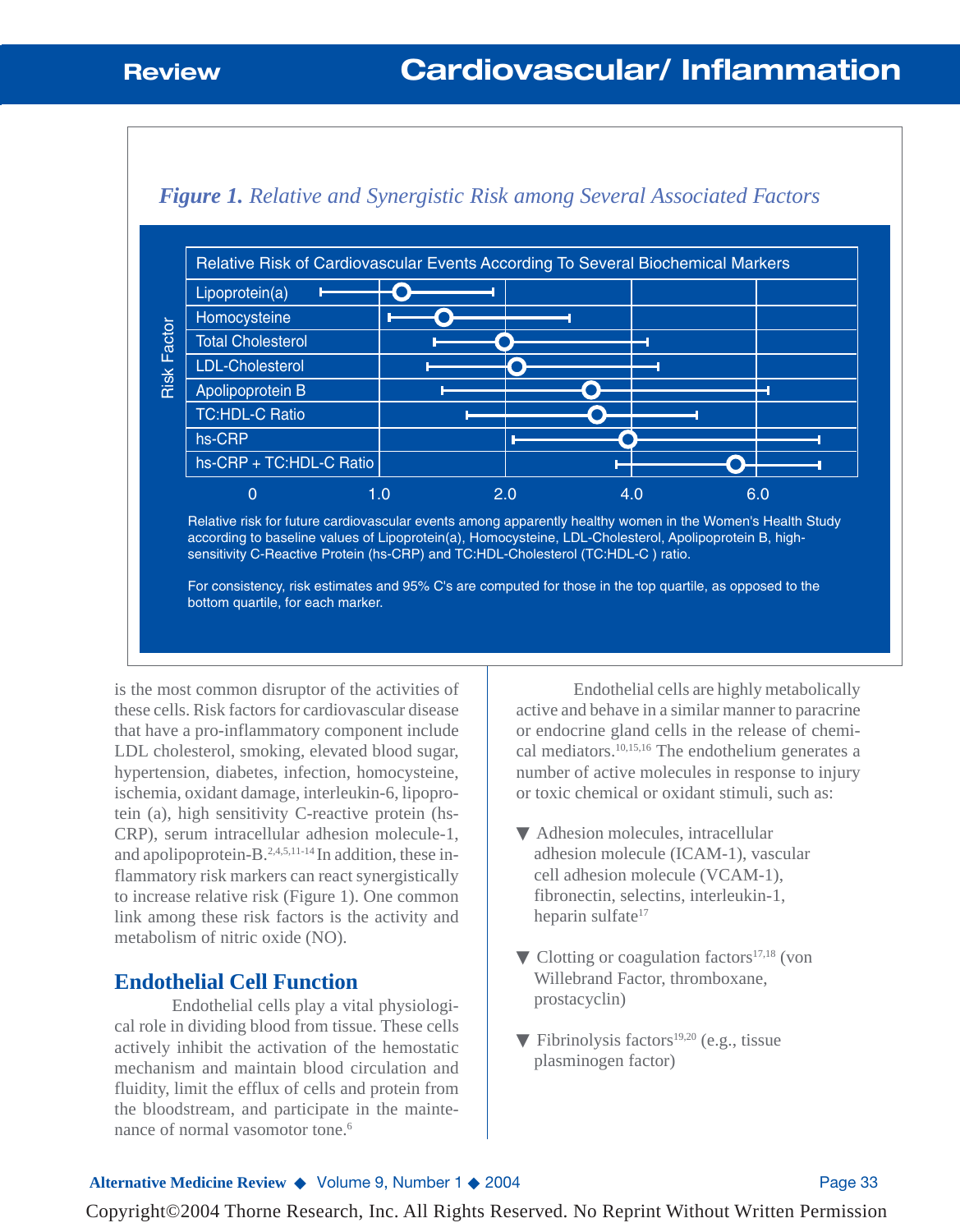

### *Figure 1. Relative and Synergistic Risk among Several Associated Factors*

bottom quartile, for each marker.

is the most common disruptor of the activities of these cells. Risk factors for cardiovascular disease that have a pro-inflammatory component include LDL cholesterol, smoking, elevated blood sugar, hypertension, diabetes, infection, homocysteine, ischemia, oxidant damage, interleukin-6, lipoprotein (a), high sensitivity C-reactive protein (hs-CRP), serum intracellular adhesion molecule-1, and apolipoprotein-B.<sup>2,4,5,11-14</sup> In addition, these inflammatory risk markers can react synergistically to increase relative risk (Figure 1). One common link among these risk factors is the activity and metabolism of nitric oxide (NO).

### **Endothelial Cell Function**

Endothelial cells play a vital physiological role in dividing blood from tissue. These cells actively inhibit the activation of the hemostatic mechanism and maintain blood circulation and fluidity, limit the efflux of cells and protein from the bloodstream, and participate in the maintenance of normal vasomotor tone.<sup>6</sup>

Endothelial cells are highly metabolically active and behave in a similar manner to paracrine or endocrine gland cells in the release of chemical mediators.10,15,16 The endothelium generates a number of active molecules in response to injury or toxic chemical or oxidant stimuli, such as:

- ▼ Adhesion molecules, intracellular adhesion molecule (ICAM-1), vascular cell adhesion molecule (VCAM-1), fibronectin, selectins, interleukin-1, heparin sulfate<sup>17</sup>
- $\nabla$  Clotting or coagulation factors<sup>17,18</sup> (von Willebrand Factor, thromboxane, prostacyclin)
- $\blacktriangledown$  Fibrinolysis factors<sup>19,20</sup> (e.g., tissue plasminogen factor)

#### Alternative Medicine Review ◆ Volume 9, Number 1 ◆ 2004 **Page 33**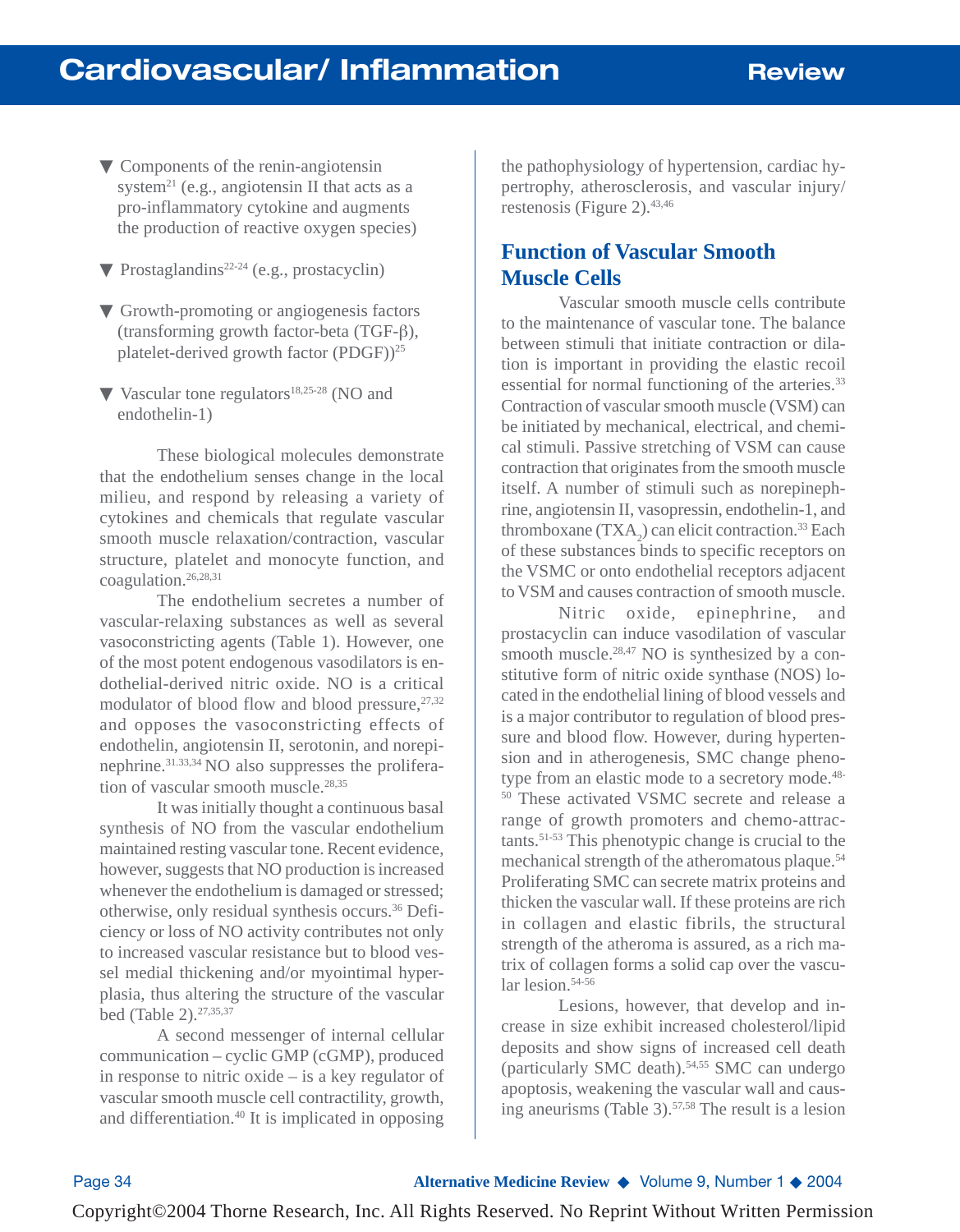- ▼ Components of the renin-angiotensin system<sup>21</sup> (e.g., angiotensin II that acts as a pro-inflammatory cytokine and augments the production of reactive oxygen species)
- $\nabla$  Prostaglandins<sup>22-24</sup> (e.g., prostacyclin)
- ▼ Growth-promoting or angiogenesis factors (transforming growth factor-beta (TGF-β), platelet-derived growth factor  $(PDGF))^{25}$
- ▼ Vascular tone regulators<sup>18,25-28</sup> (NO and endothelin-1)

These biological molecules demonstrate that the endothelium senses change in the local milieu, and respond by releasing a variety of cytokines and chemicals that regulate vascular smooth muscle relaxation/contraction, vascular structure, platelet and monocyte function, and coagulation.26,28,31

The endothelium secretes a number of vascular-relaxing substances as well as several vasoconstricting agents (Table 1). However, one of the most potent endogenous vasodilators is endothelial-derived nitric oxide. NO is a critical modulator of blood flow and blood pressure, $27,32$ and opposes the vasoconstricting effects of endothelin, angiotensin II, serotonin, and norepinephrine.31.33,34 NO also suppresses the proliferation of vascular smooth muscle.<sup>28,35</sup>

It was initially thought a continuous basal synthesis of NO from the vascular endothelium maintained resting vascular tone. Recent evidence, however, suggests that NO production is increased whenever the endothelium is damaged or stressed; otherwise, only residual synthesis occurs.36 Deficiency or loss of NO activity contributes not only to increased vascular resistance but to blood vessel medial thickening and/or myointimal hyperplasia, thus altering the structure of the vascular bed (Table 2).27,35,37

A second messenger of internal cellular communication – cyclic GMP (cGMP), produced in response to nitric oxide – is a key regulator of vascular smooth muscle cell contractility, growth, and differentiation.40 It is implicated in opposing the pathophysiology of hypertension, cardiac hypertrophy, atherosclerosis, and vascular injury/ restenosis (Figure 2).  $43,46$ 

## **Function of Vascular Smooth Muscle Cells**

Vascular smooth muscle cells contribute to the maintenance of vascular tone. The balance between stimuli that initiate contraction or dilation is important in providing the elastic recoil essential for normal functioning of the arteries.<sup>33</sup> Contraction of vascular smooth muscle (VSM) can be initiated by mechanical, electrical, and chemical stimuli. Passive stretching of VSM can cause contraction that originates from the smooth muscle itself. A number of stimuli such as norepinephrine, angiotensin II, vasopressin, endothelin-1, and thromboxane  $(TXA<sub>2</sub>)$  can elicit contraction.<sup>33</sup> Each of these substances binds to specific receptors on the VSMC or onto endothelial receptors adjacent to VSM and causes contraction of smooth muscle.

Nitric oxide, epinephrine, and prostacyclin can induce vasodilation of vascular smooth muscle.<sup>28,47</sup> NO is synthesized by a constitutive form of nitric oxide synthase (NOS) located in the endothelial lining of blood vessels and is a major contributor to regulation of blood pressure and blood flow. However, during hypertension and in atherogenesis, SMC change phenotype from an elastic mode to a secretory mode.<sup>48-1</sup> <sup>50</sup> These activated VSMC secrete and release a range of growth promoters and chemo-attractants.51-53 This phenotypic change is crucial to the mechanical strength of the atheromatous plaque.<sup>54</sup> Proliferating SMC can secrete matrix proteins and thicken the vascular wall. If these proteins are rich in collagen and elastic fibrils, the structural strength of the atheroma is assured, as a rich matrix of collagen forms a solid cap over the vascular lesion.<sup>54-56</sup>

Lesions, however, that develop and increase in size exhibit increased cholesterol/lipid deposits and show signs of increased cell death (particularly SMC death).54,55 SMC can undergo apoptosis, weakening the vascular wall and causing aneurisms (Table 3).57,58 The result is a lesion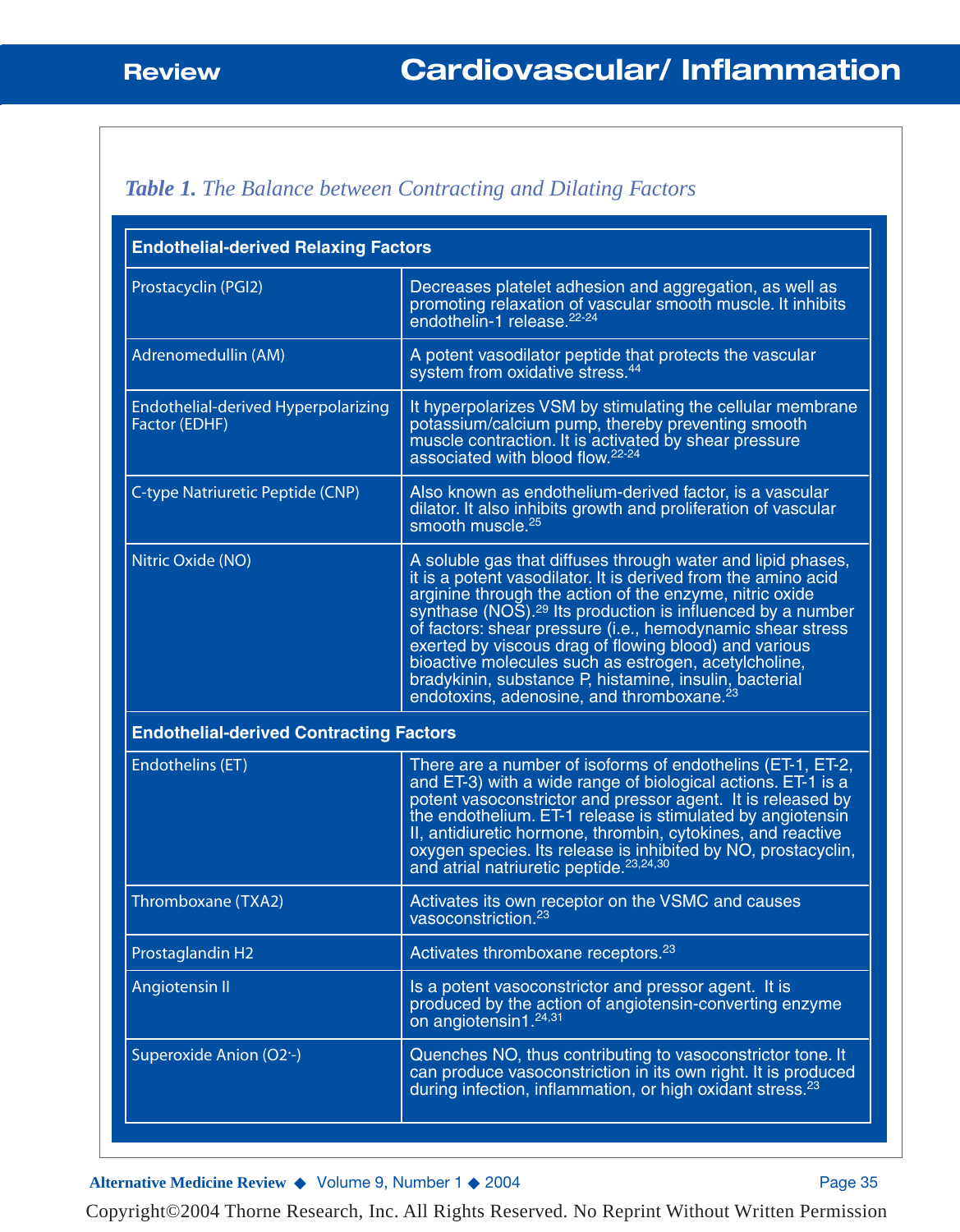## *Table 1. The Balance between Contracting and Dilating Factors*

| <b>Endothelial-derived Relaxing Factors</b>          |                                                                                                                                                                                                                                                                                                                                                                                                                                                                                                                                                                     |  |
|------------------------------------------------------|---------------------------------------------------------------------------------------------------------------------------------------------------------------------------------------------------------------------------------------------------------------------------------------------------------------------------------------------------------------------------------------------------------------------------------------------------------------------------------------------------------------------------------------------------------------------|--|
| Prostacyclin (PGI2)                                  | Decreases platelet adhesion and aggregation, as well as<br>promoting relaxation of vascular smooth muscle. It inhibits<br>endothelin-1 release. <sup>22-24</sup>                                                                                                                                                                                                                                                                                                                                                                                                    |  |
| Adrenomedullin (AM)                                  | A potent vasodilator peptide that protects the vascular<br>system from oxidative stress. <sup>44</sup>                                                                                                                                                                                                                                                                                                                                                                                                                                                              |  |
| Endothelial-derived Hyperpolarizing<br>Factor (EDHF) | It hyperpolarizes VSM by stimulating the cellular membrane<br>potassium/calcium pump, thereby preventing smooth<br>muscle contraction. It is activated by shear pressure<br>associated with blood flow. <sup>22-24</sup>                                                                                                                                                                                                                                                                                                                                            |  |
| C-type Natriuretic Peptide (CNP)                     | Also known as endothelium-derived factor, is a vascular<br>dilator. It also inhibits growth and proliferation of vascular<br>smooth muscle. <sup>25</sup>                                                                                                                                                                                                                                                                                                                                                                                                           |  |
| Nitric Oxide (NO)                                    | A soluble gas that diffuses through water and lipid phases,<br>it is a potent vasodilator. It is derived from the amino acid<br>arginine through the action of the enzyme, nitric oxide<br>synthase (NOS). <sup>29</sup> Its production is influenced by a number<br>of factors: shear pressure (i.e., hemodynamic shear stress<br>exerted by viscous drag of flowing blood) and various<br>bioactive molecules such as estrogen, acetylcholine,<br>bradykinin, substance P, histamine, insulin, bacterial<br>endotoxins, adenosine, and thromboxane. <sup>23</sup> |  |
| <b>Endothelial-derived Contracting Factors</b>       |                                                                                                                                                                                                                                                                                                                                                                                                                                                                                                                                                                     |  |
| Endothelins (ET)                                     | There are a number of isoforms of endothelins (ET-1, ET-2,<br>and ET-3) with a wide range of biological actions. ET-1 is a<br>potent vasoconstrictor and pressor agent. It is released by<br>the endothelium. ET-1 release is stimulated by angiotensin<br>II, antidiuretic hormone, thrombin, cytokines, and reactive<br>oxygen species. Its release is inhibited by NO, prostacyclin,<br>and atrial natriuretic peptide. <sup>23,24,30</sup>                                                                                                                      |  |
| Thromboxane (TXA2)                                   | Activates its own receptor on the VSMC and causes<br>vasoconstriction. <sup>23</sup>                                                                                                                                                                                                                                                                                                                                                                                                                                                                                |  |
| Prostaglandin H2                                     | Activates thromboxane receptors. <sup>23</sup>                                                                                                                                                                                                                                                                                                                                                                                                                                                                                                                      |  |
| Angiotensin II                                       | Is a potent vasoconstrictor and pressor agent. It is<br>produced by the action of angiotensin-converting enzyme<br>on angiotensin1.24,31                                                                                                                                                                                                                                                                                                                                                                                                                            |  |
| Superoxide Anion (O2 -)                              | Quenches NO, thus contributing to vasoconstrictor tone. It<br>can produce vasoconstriction in its own right. It is produced<br>during infection, inflammation, or high oxidant stress. <sup>23</sup>                                                                                                                                                                                                                                                                                                                                                                |  |

Alternative Medicine Review ◆ Volume 9, Number 1 ◆ 2004 Page 35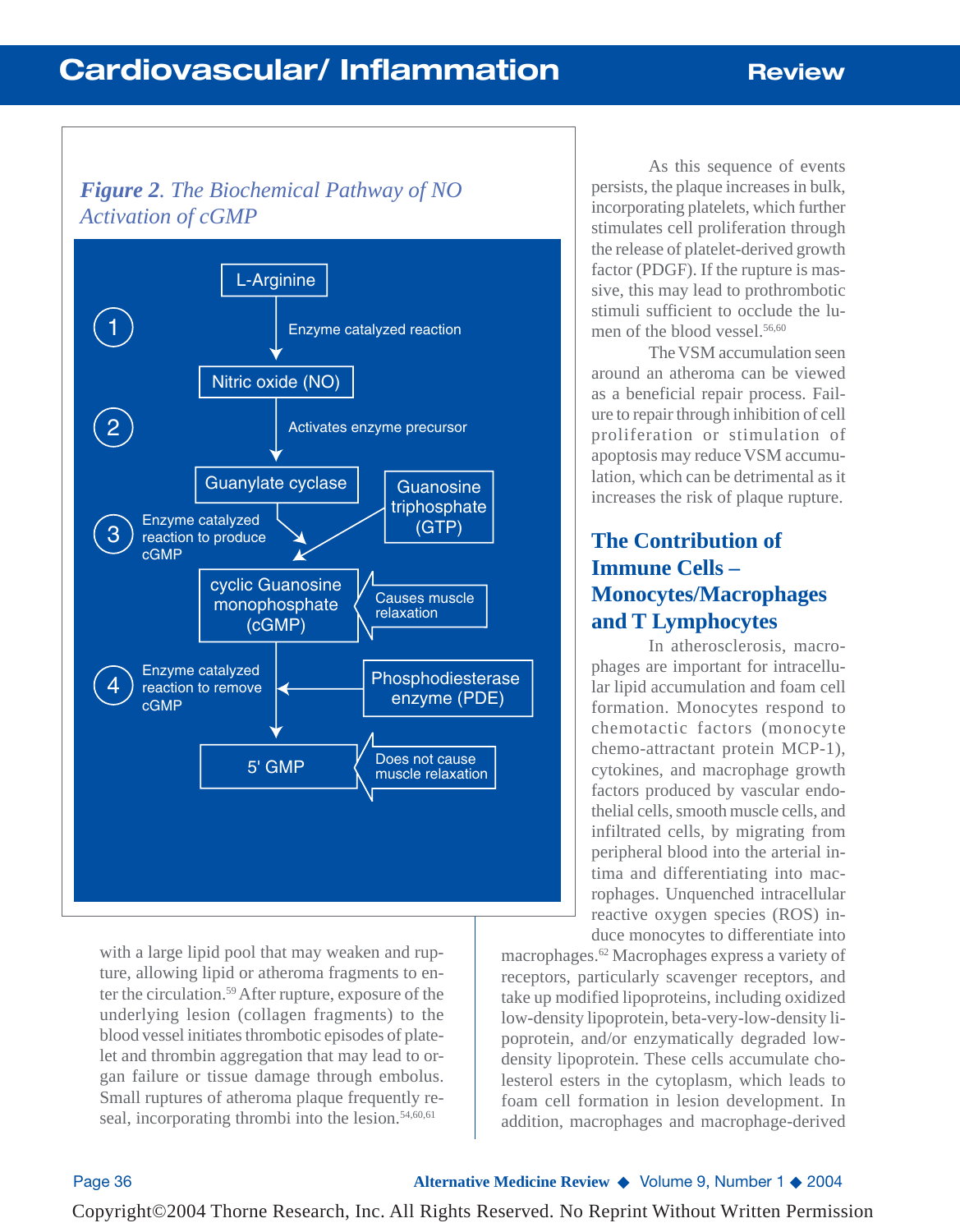# **Cardiovascular/ Inflammation Review**

## *Figure 2. The Biochemical Pathway of NO Activation of cGMP*



with a large lipid pool that may weaken and rupture, allowing lipid or atheroma fragments to enter the circulation.59After rupture, exposure of the underlying lesion (collagen fragments) to the blood vessel initiates thrombotic episodes of platelet and thrombin aggregation that may lead to organ failure or tissue damage through embolus. Small ruptures of atheroma plaque frequently reseal, incorporating thrombi into the lesion. $54,60,61$ 

As this sequence of events persists, the plaque increases in bulk, incorporating platelets, which further stimulates cell proliferation through the release of platelet-derived growth factor (PDGF). If the rupture is massive, this may lead to prothrombotic stimuli sufficient to occlude the lumen of the blood vessel.<sup>56,60</sup>

The VSM accumulation seen around an atheroma can be viewed as a beneficial repair process. Failure to repair through inhibition of cell proliferation or stimulation of apoptosis may reduce VSM accumulation, which can be detrimental as it increases the risk of plaque rupture.

## **The Contribution of Immune Cells – Monocytes/Macrophages and T Lymphocytes**

In atherosclerosis, macrophages are important for intracellular lipid accumulation and foam cell formation. Monocytes respond to chemotactic factors (monocyte chemo-attractant protein MCP-1), cytokines, and macrophage growth factors produced by vascular endothelial cells, smooth muscle cells, and infiltrated cells, by migrating from peripheral blood into the arterial intima and differentiating into macrophages. Unquenched intracellular reactive oxygen species (ROS) induce monocytes to differentiate into

macrophages.62 Macrophages express a variety of receptors, particularly scavenger receptors, and take up modified lipoproteins, including oxidized low-density lipoprotein, beta-very-low-density lipoprotein, and/or enzymatically degraded lowdensity lipoprotein. These cells accumulate cholesterol esters in the cytoplasm, which leads to foam cell formation in lesion development. In addition, macrophages and macrophage-derived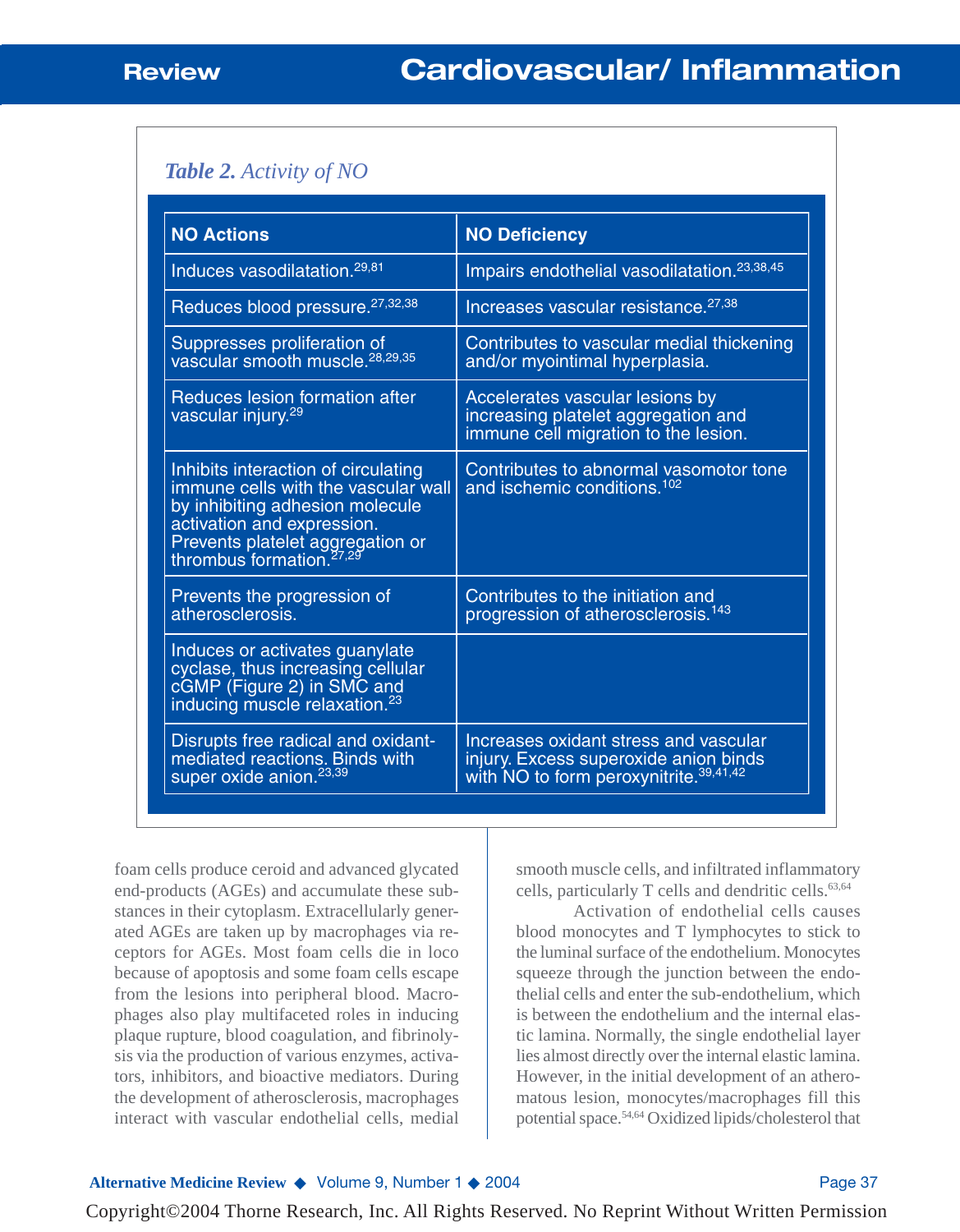### *Table 2. Activity of NO*

| <b>NO Actions</b>                                                                                                                                                                                                       | <b>NO Deficiency</b>                                                                                                                 |
|-------------------------------------------------------------------------------------------------------------------------------------------------------------------------------------------------------------------------|--------------------------------------------------------------------------------------------------------------------------------------|
| Induces vasodilatation. <sup>29,81</sup>                                                                                                                                                                                | Impairs endothelial vasodilatation. <sup>23,38,45</sup>                                                                              |
| Reduces blood pressure. <sup>27,32,38</sup>                                                                                                                                                                             | Increases vascular resistance. <sup>27,38</sup>                                                                                      |
| Suppresses proliferation of<br>vascular smooth muscle. <sup>28,29,35</sup>                                                                                                                                              | Contributes to vascular medial thickening<br>and/or myointimal hyperplasia.                                                          |
| Reduces lesion formation after<br>vascular injury. <sup>29</sup>                                                                                                                                                        | Accelerates vascular lesions by<br>increasing platelet aggregation and<br>immune cell migration to the lesion.                       |
| Inhibits interaction of circulating<br>immune cells with the vascular wall<br>by inhibiting adhesion molecule<br>activation and expression.<br>Prevents platelet aggregation or<br>thrombus formation. <sup>27,29</sup> | Contributes to abnormal vasomotor tone<br>and ischemic conditions. <sup>102</sup>                                                    |
| Prevents the progression of<br>atherosclerosis.                                                                                                                                                                         | Contributes to the initiation and<br>progression of atherosclerosis. <sup>143</sup>                                                  |
| Induces or activates guanylate<br>cyclase, thus increasing cellular<br>cGMP (Figure 2) in SMC and<br>inducing muscle relaxation. <sup>23</sup>                                                                          |                                                                                                                                      |
| Disrupts free radical and oxidant-<br>mediated reactions. Binds with<br>super oxide anion. <sup>23,39</sup>                                                                                                             | Increases oxidant stress and vascular<br>injury. Excess superoxide anion binds<br>with NO to form peroxynitrite. <sup>39,41,42</sup> |

foam cells produce ceroid and advanced glycated end-products (AGEs) and accumulate these substances in their cytoplasm. Extracellularly generated AGEs are taken up by macrophages via receptors for AGEs. Most foam cells die in loco because of apoptosis and some foam cells escape from the lesions into peripheral blood. Macrophages also play multifaceted roles in inducing plaque rupture, blood coagulation, and fibrinolysis via the production of various enzymes, activators, inhibitors, and bioactive mediators. During the development of atherosclerosis, macrophages interact with vascular endothelial cells, medial

smooth muscle cells, and infiltrated inflammatory cells, particularly T cells and dendritic cells.63,64

Activation of endothelial cells causes blood monocytes and T lymphocytes to stick to the luminal surface of the endothelium. Monocytes squeeze through the junction between the endothelial cells and enter the sub-endothelium, which is between the endothelium and the internal elastic lamina. Normally, the single endothelial layer lies almost directly over the internal elastic lamina. However, in the initial development of an atheromatous lesion, monocytes/macrophages fill this potential space.54,64 Oxidized lipids/cholesterol that

#### **Alternative Medicine Review ◆ Volume 9, Number 1 ◆ 2004** Page 37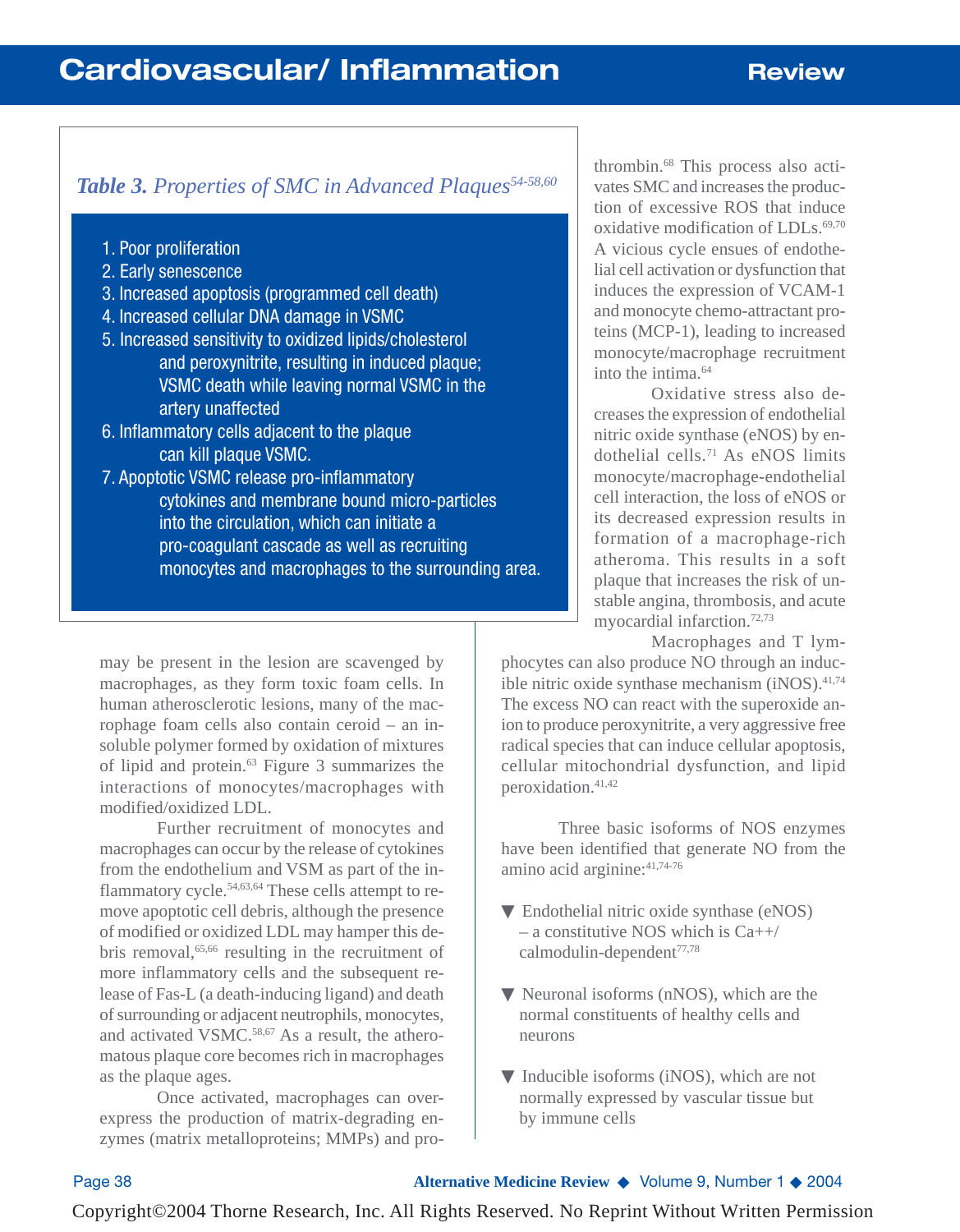## *Table 3. Properties of SMC in Advanced Plaques54-58,60*

- 1. Poor proliferation
- 2. Early senescence
- 3. Increased apoptosis (programmed cell death)
- 4. Increased cellular DNA damage in VSMC
- 5. Increased sensitivity to oxidized lipids/cholesterol and peroxynitrite, resulting in induced plaque; VSMC death while leaving normal VSMC in the artery unaffected
- 6. Inflammatory cells adjacent to the plaque can kill plaque VSMC.
- 7. Apoptotic VSMC release pro-inflammatory cytokines and membrane bound micro-particles into the circulation, which can initiate a pro-coagulant cascade as well as recruiting monocytes and macrophages to the surrounding area.

may be present in the lesion are scavenged by macrophages, as they form toxic foam cells. In human atherosclerotic lesions, many of the macrophage foam cells also contain ceroid – an insoluble polymer formed by oxidation of mixtures of lipid and protein.63 Figure 3 summarizes the interactions of monocytes/macrophages with modified/oxidized LDL.

Further recruitment of monocytes and macrophages can occur by the release of cytokines from the endothelium and VSM as part of the inflammatory cycle.54,63,64 These cells attempt to remove apoptotic cell debris, although the presence of modified or oxidized LDL may hamper this debris removal,<sup>65,66</sup> resulting in the recruitment of more inflammatory cells and the subsequent release of Fas-L (a death-inducing ligand) and death of surrounding or adjacent neutrophils, monocytes, and activated VSMC.<sup>58,67</sup> As a result, the atheromatous plaque core becomes rich in macrophages as the plaque ages.

Once activated, macrophages can overexpress the production of matrix-degrading enzymes (matrix metalloproteins; MMPs) and pro-

thrombin.68 This process also activates SMC and increases the production of excessive ROS that induce oxidative modification of LDLs.<sup>69,70</sup> A vicious cycle ensues of endothelial cell activation or dysfunction that induces the expression of VCAM-1 and monocyte chemo-attractant proteins (MCP-1), leading to increased monocyte/macrophage recruitment into the intima.64

Oxidative stress also decreases the expression of endothelial nitric oxide synthase (eNOS) by endothelial cells.71 As eNOS limits monocyte/macrophage-endothelial cell interaction, the loss of eNOS or its decreased expression results in formation of a macrophage-rich atheroma. This results in a soft plaque that increases the risk of unstable angina, thrombosis, and acute myocardial infarction.72,73

Macrophages and T lymphocytes can also produce NO through an inducible nitric oxide synthase mechanism  $(iNOS)$ .<sup>41,74</sup> The excess NO can react with the superoxide anion to produce peroxynitrite, a very aggressive free radical species that can induce cellular apoptosis, cellular mitochondrial dysfunction, and lipid peroxidation.41,42

Three basic isoforms of NOS enzymes have been identified that generate NO from the amino acid arginine:  $41,74-76$ 

- $\nabla$  Endothelial nitric oxide synthase (eNOS) – a constitutive NOS which is Ca++/ calmodulin-dependent<sup>77,78</sup>
- ▼ Neuronal isoforms (nNOS), which are the normal constituents of healthy cells and neurons
- ▼ Inducible isoforms (iNOS), which are not normally expressed by vascular tissue but by immune cells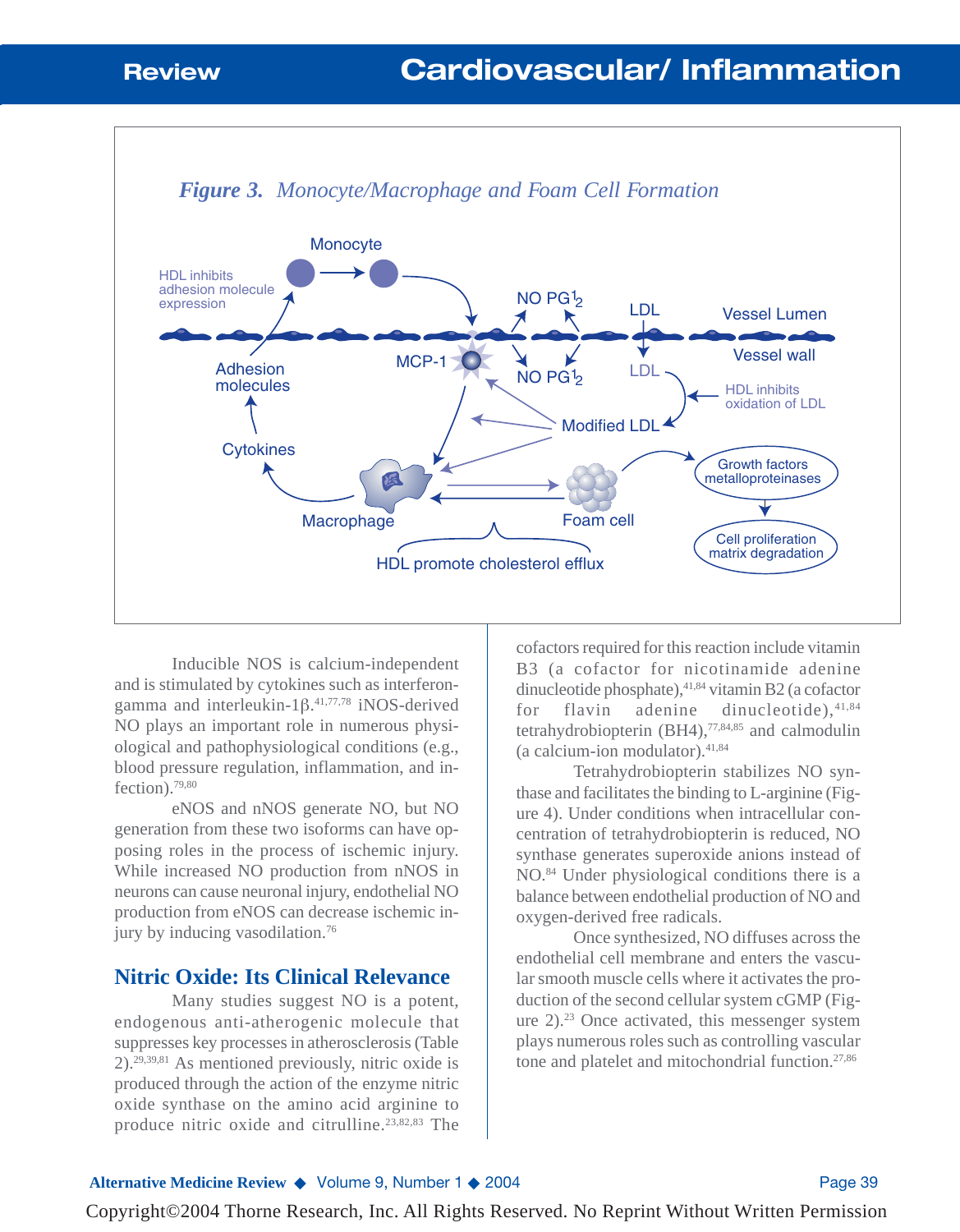

#### *Figure 3. Monocyte/Macrophage and Foam Cell Formation*

Inducible NOS is calcium-independent and is stimulated by cytokines such as interferongamma and interleukin-1β. 41,77,78 iNOS-derived NO plays an important role in numerous physiological and pathophysiological conditions (e.g., blood pressure regulation, inflammation, and in $flection$ <sup>79,80</sup>

eNOS and nNOS generate NO, but NO generation from these two isoforms can have opposing roles in the process of ischemic injury. While increased NO production from nNOS in neurons can cause neuronal injury, endothelial NO production from eNOS can decrease ischemic injury by inducing vasodilation.76

#### **Nitric Oxide: Its Clinical Relevance**

Many studies suggest NO is a potent, endogenous anti-atherogenic molecule that suppresses key processes in atherosclerosis (Table 2).29,39,81 As mentioned previously, nitric oxide is produced through the action of the enzyme nitric oxide synthase on the amino acid arginine to produce nitric oxide and citrulline.23,82,83 The

cofactors required for this reaction include vitamin B3 (a cofactor for nicotinamide adenine dinucleotide phosphate), 41,84 vitamin B2 (a cofactor for flavin adenine dinucleotide),  $41,84$ tetrahydrobiopterin (BH4),77,84,85 and calmodulin (a calcium-ion modulator).41,84

Tetrahydrobiopterin stabilizes NO synthase and facilitates the binding to L-arginine (Figure 4). Under conditions when intracellular concentration of tetrahydrobiopterin is reduced, NO synthase generates superoxide anions instead of NO.84 Under physiological conditions there is a balance between endothelial production of NO and oxygen-derived free radicals.

Once synthesized, NO diffuses across the endothelial cell membrane and enters the vascular smooth muscle cells where it activates the production of the second cellular system cGMP (Figure  $2$ ).<sup>23</sup> Once activated, this messenger system plays numerous roles such as controlling vascular tone and platelet and mitochondrial function.<sup>27,86</sup>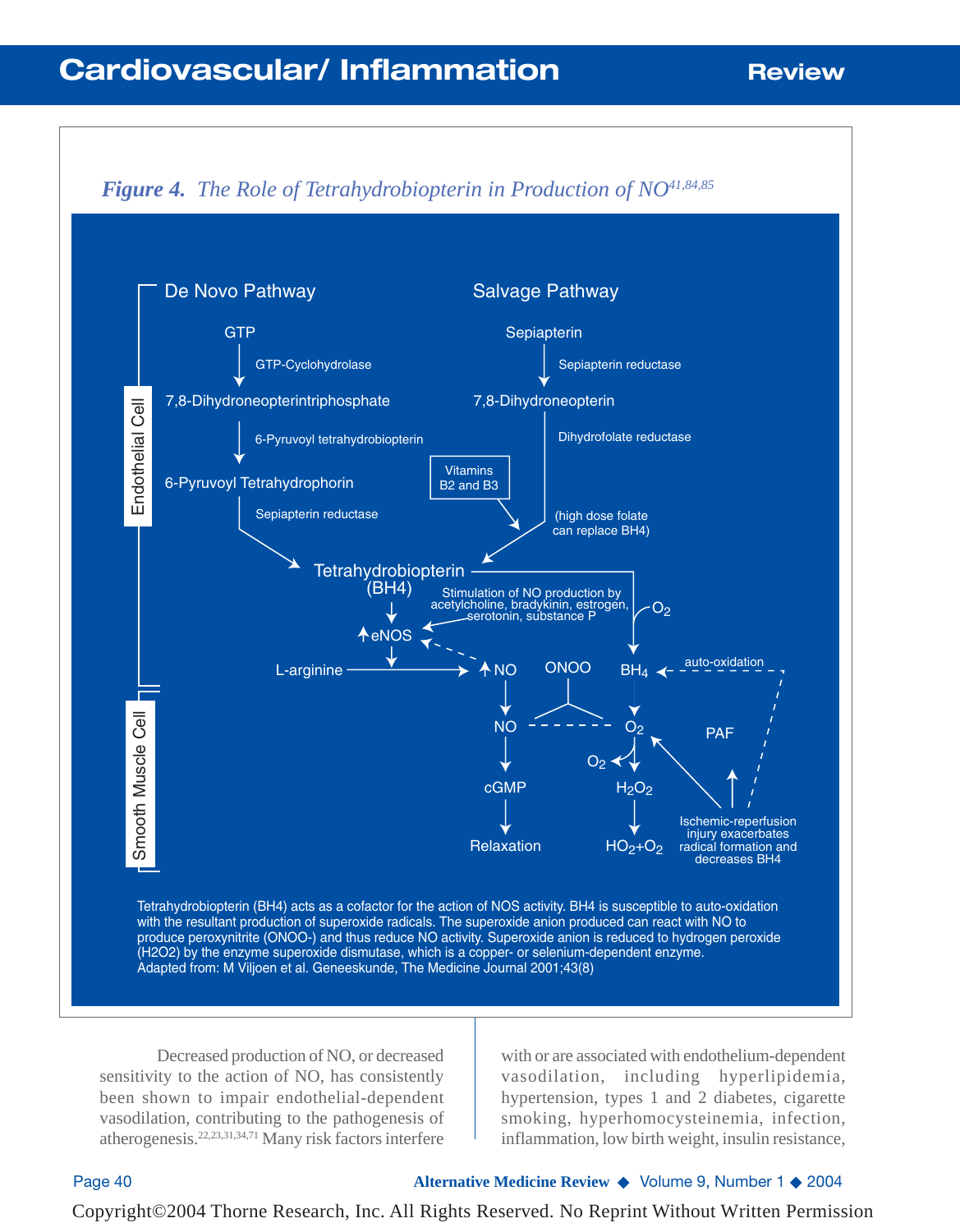# **Cardiovascular/ Inflammation Review**



Decreased production of NO, or decreased sensitivity to the action of NO, has consistently been shown to impair endothelial-dependent vasodilation, contributing to the pathogenesis of atherogenesis.22,23,31,34,71 Many risk factors interfere

with or are associated with endothelium-dependent vasodilation, including hyperlipidemia, hypertension, types 1 and 2 diabetes, cigarette smoking, hyperhomocysteinemia, infection, inflammation, low birth weight, insulin resistance,

Page 40 **Alternative Medicine Review** ◆ Volume 9, Number 1 ◆ 2004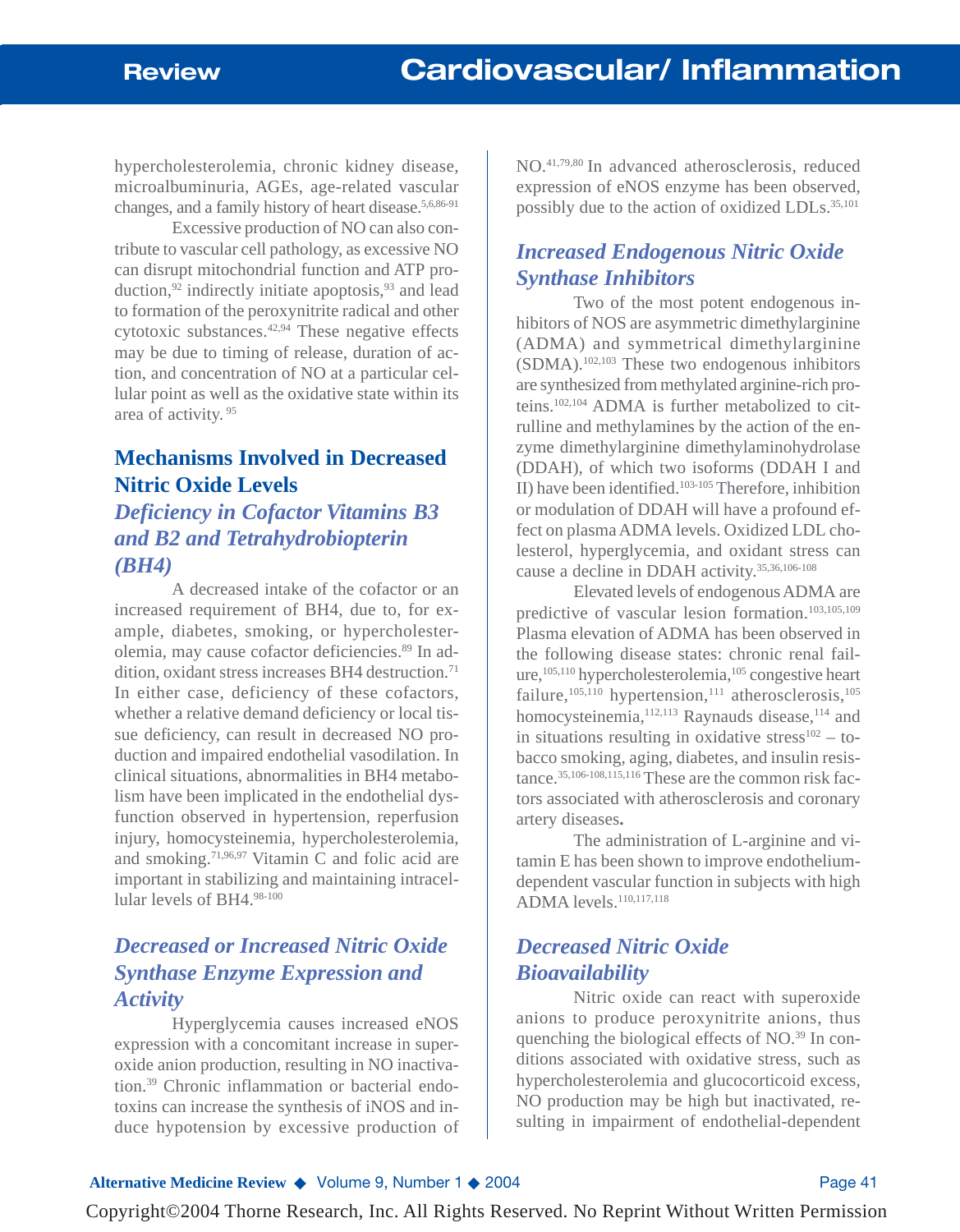hypercholesterolemia, chronic kidney disease, microalbuminuria, AGEs, age-related vascular changes, and a family history of heart disease.5,6,86-91

Excessive production of NO can also contribute to vascular cell pathology, as excessive NO can disrupt mitochondrial function and ATP production,  $92$  indirectly initiate apoptosis,  $93$  and lead to formation of the peroxynitrite radical and other cytotoxic substances. $42,94$  These negative effects may be due to timing of release, duration of action, and concentration of NO at a particular cellular point as well as the oxidative state within its area of activity. <sup>95</sup>

### **Mechanisms Involved in Decreased Nitric Oxide Levels**

## *Deficiency in Cofactor Vitamins B3 and B2 and Tetrahydrobiopterin (BH4)*

A decreased intake of the cofactor or an increased requirement of BH4, due to, for example, diabetes, smoking, or hypercholesterolemia, may cause cofactor deficiencies.89 In addition, oxidant stress increases BH4 destruction.<sup>71</sup> In either case, deficiency of these cofactors, whether a relative demand deficiency or local tissue deficiency, can result in decreased NO production and impaired endothelial vasodilation. In clinical situations, abnormalities in BH4 metabolism have been implicated in the endothelial dysfunction observed in hypertension, reperfusion injury, homocysteinemia, hypercholesterolemia, and smoking.<sup>71,96,97</sup> Vitamin C and folic acid are important in stabilizing and maintaining intracellular levels of BH4.98-100

## *Decreased or Increased Nitric Oxide Synthase Enzyme Expression and Activity*

Hyperglycemia causes increased eNOS expression with a concomitant increase in superoxide anion production, resulting in NO inactivation.39 Chronic inflammation or bacterial endotoxins can increase the synthesis of iNOS and induce hypotension by excessive production of NO.41,79,80 In advanced atherosclerosis, reduced expression of eNOS enzyme has been observed, possibly due to the action of oxidized LDLs.35,101

## *Increased Endogenous Nitric Oxide Synthase Inhibitors*

Two of the most potent endogenous inhibitors of NOS are asymmetric dimethylarginine (ADMA) and symmetrical dimethylarginine (SDMA).102,103 These two endogenous inhibitors are synthesized from methylated arginine-rich proteins.102,104 ADMA is further metabolized to citrulline and methylamines by the action of the enzyme dimethylarginine dimethylaminohydrolase (DDAH), of which two isoforms (DDAH I and II) have been identified.103-105 Therefore, inhibition or modulation of DDAH will have a profound effect on plasma ADMA levels. Oxidized LDL cholesterol, hyperglycemia, and oxidant stress can cause a decline in DDAH activity.35,36,106-108

Elevated levels of endogenous ADMA are predictive of vascular lesion formation.103,105,109 Plasma elevation of ADMA has been observed in the following disease states: chronic renal failure,<sup>105,110</sup> hypercholesterolemia,<sup>105</sup> congestive heart failure,<sup>105,110</sup> hypertension,<sup>111</sup> atherosclerosis,<sup>105</sup> homocysteinemia,<sup>112,113</sup> Raynauds disease,<sup>114</sup> and in situations resulting in oxidative stress $102 -$  tobacco smoking, aging, diabetes, and insulin resistance.35,106-108,115,116 These are the common risk factors associated with atherosclerosis and coronary artery diseases**.**

The administration of L-arginine and vitamin E has been shown to improve endotheliumdependent vascular function in subjects with high ADMA levels.<sup>110,117,118</sup>

## *Decreased Nitric Oxide Bioavailability*

Nitric oxide can react with superoxide anions to produce peroxynitrite anions, thus quenching the biological effects of NO.39 In conditions associated with oxidative stress, such as hypercholesterolemia and glucocorticoid excess, NO production may be high but inactivated, resulting in impairment of endothelial-dependent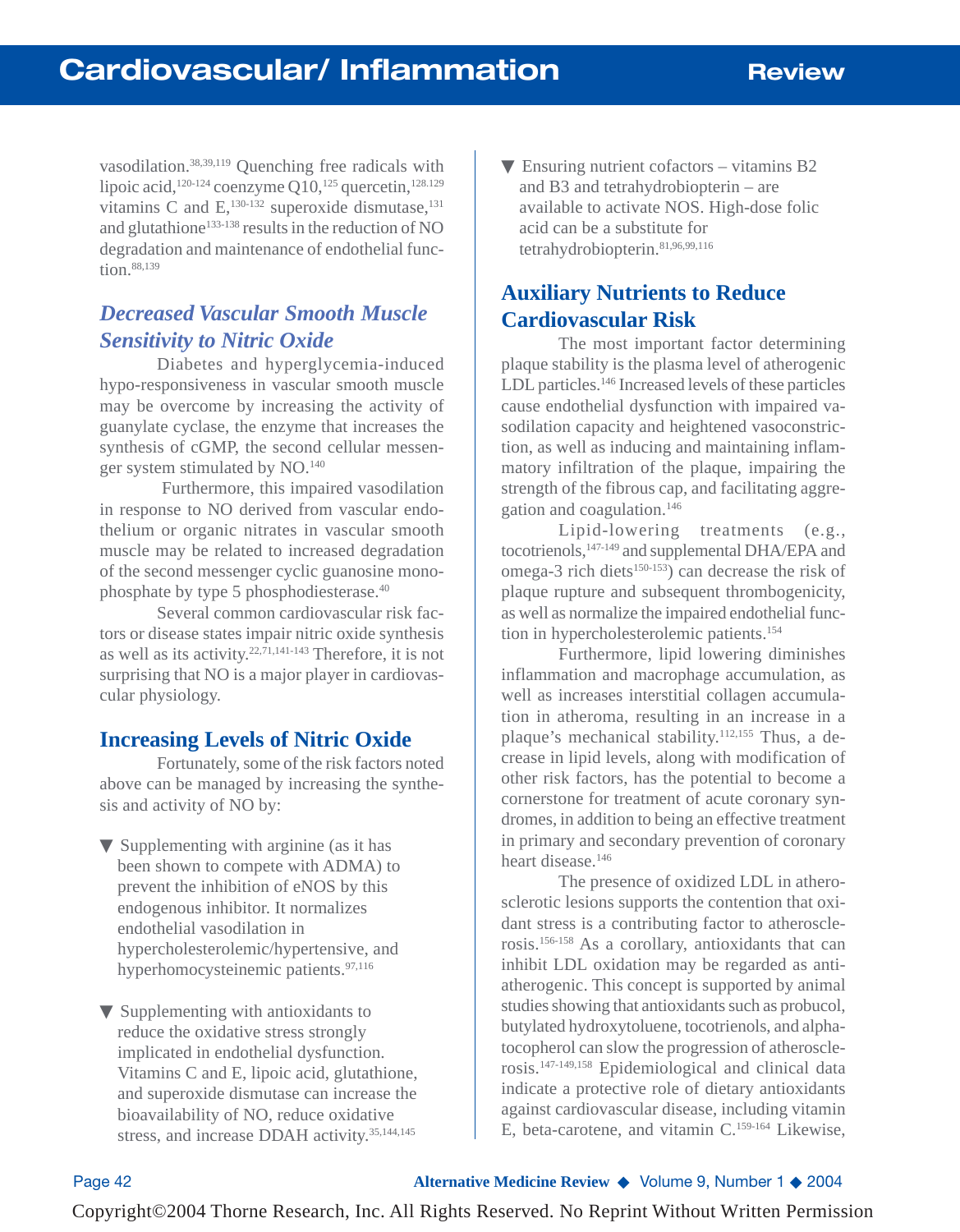vasodilation.38,39,119 Quenching free radicals with lipoic acid,<sup>120-124</sup> coenzyme Q10,<sup>125</sup> quercetin,<sup>128.129</sup> vitamins C and  $E$ ,  $^{130-132}$  superoxide dismutase,  $^{131}$ and glutathione<sup>133-138</sup> results in the reduction of NO degradation and maintenance of endothelial function.88,139

### *Decreased Vascular Smooth Muscle Sensitivity to Nitric Oxide*

Diabetes and hyperglycemia-induced hypo-responsiveness in vascular smooth muscle may be overcome by increasing the activity of guanylate cyclase, the enzyme that increases the synthesis of cGMP, the second cellular messenger system stimulated by NO.140

Furthermore, this impaired vasodilation in response to NO derived from vascular endothelium or organic nitrates in vascular smooth muscle may be related to increased degradation of the second messenger cyclic guanosine monophosphate by type 5 phosphodiesterase.40

Several common cardiovascular risk factors or disease states impair nitric oxide synthesis as well as its activity.22,71,141-143 Therefore, it is not surprising that NO is a major player in cardiovascular physiology.

### **Increasing Levels of Nitric Oxide**

Fortunately, some of the risk factors noted above can be managed by increasing the synthesis and activity of NO by:

- $\nabla$  Supplementing with arginine (as it has been shown to compete with ADMA) to prevent the inhibition of eNOS by this endogenous inhibitor. It normalizes endothelial vasodilation in hypercholesterolemic/hypertensive, and hyperhomocysteinemic patients.<sup>97,116</sup>
- $\nabla$  Supplementing with antioxidants to reduce the oxidative stress strongly implicated in endothelial dysfunction. Vitamins C and E, lipoic acid, glutathione, and superoxide dismutase can increase the bioavailability of NO, reduce oxidative stress, and increase DDAH activity.<sup>35,144,145</sup>

 $\nabla$  Ensuring nutrient cofactors – vitamins B2 and B3 and tetrahydrobiopterin – are available to activate NOS. High-dose folic acid can be a substitute for tetrahydrobiopterin.81,96,99,116

## **Auxiliary Nutrients to Reduce Cardiovascular Risk**

The most important factor determining plaque stability is the plasma level of atherogenic LDL particles.<sup>146</sup> Increased levels of these particles cause endothelial dysfunction with impaired vasodilation capacity and heightened vasoconstriction, as well as inducing and maintaining inflammatory infiltration of the plaque, impairing the strength of the fibrous cap, and facilitating aggregation and coagulation.146

Lipid-lowering treatments (e.g., tocotrienols,147-149 and supplemental DHA/EPA and omega-3 rich diets $150-153$ ) can decrease the risk of plaque rupture and subsequent thrombogenicity, as well as normalize the impaired endothelial function in hypercholesterolemic patients.154

Furthermore, lipid lowering diminishes inflammation and macrophage accumulation, as well as increases interstitial collagen accumulation in atheroma, resulting in an increase in a plaque's mechanical stability.112,155 Thus, a decrease in lipid levels, along with modification of other risk factors, has the potential to become a cornerstone for treatment of acute coronary syndromes, in addition to being an effective treatment in primary and secondary prevention of coronary heart disease.<sup>146</sup>

The presence of oxidized LDL in atherosclerotic lesions supports the contention that oxidant stress is a contributing factor to atherosclerosis.156-158 As a corollary, antioxidants that can inhibit LDL oxidation may be regarded as antiatherogenic. This concept is supported by animal studies showing that antioxidants such as probucol, butylated hydroxytoluene, tocotrienols, and alphatocopherol can slow the progression of atherosclerosis.147-149,158 Epidemiological and clinical data indicate a protective role of dietary antioxidants against cardiovascular disease, including vitamin E, beta-carotene, and vitamin C.159-164 Likewise,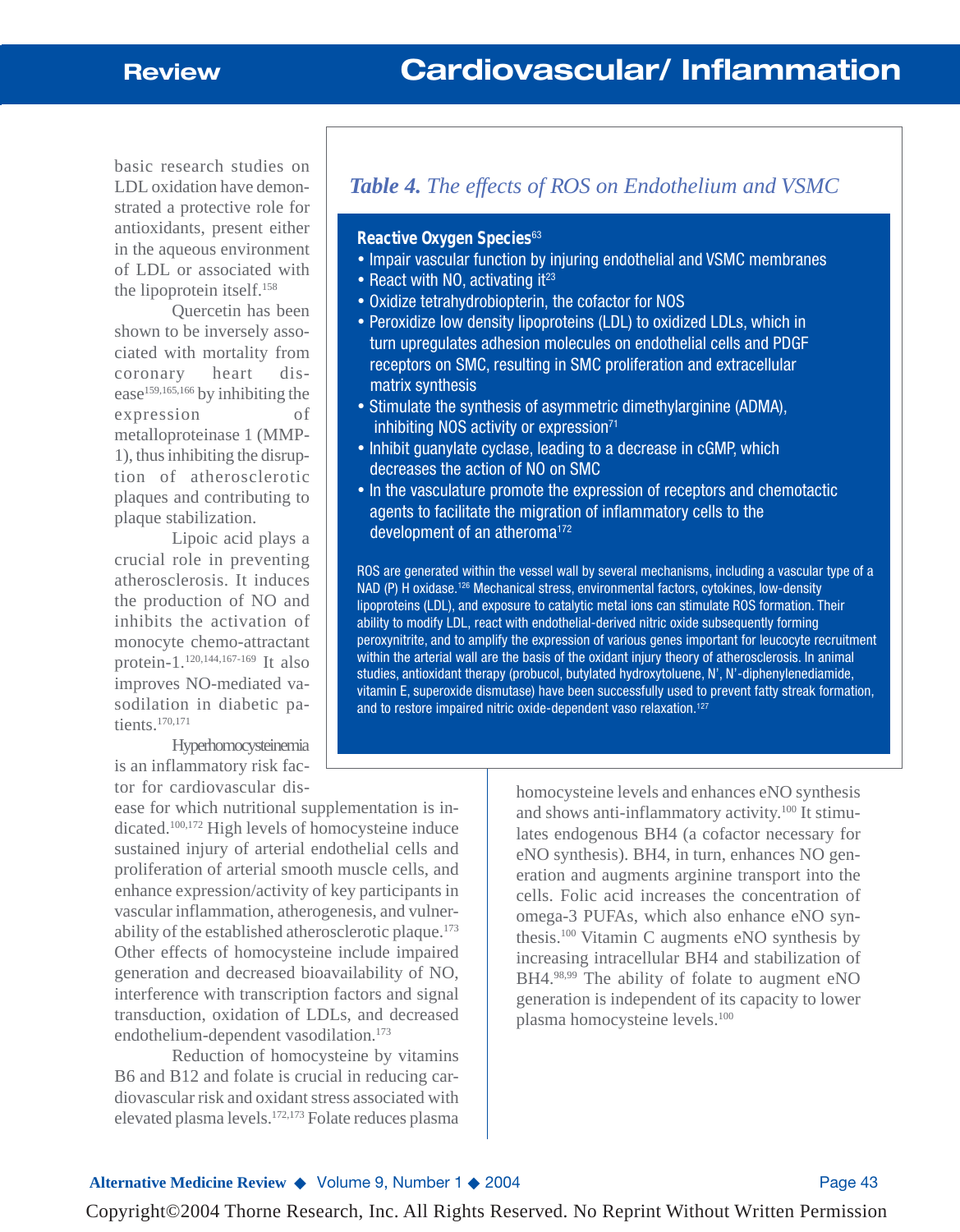basic research studies on LDL oxidation have demonstrated a protective role for antioxidants, present either in the aqueous environment of LDL or associated with the lipoprotein itself.158

Quercetin has been shown to be inversely associated with mortality from coronary heart disease<sup>159,165,166</sup> by inhibiting the expression of metalloproteinase 1 (MMP-1), thus inhibiting the disruption of atherosclerotic plaques and contributing to plaque stabilization.

Lipoic acid plays a crucial role in preventing atherosclerosis. It induces the production of NO and inhibits the activation of monocyte chemo-attractant protein-1.120,144,167-169 It also improves NO-mediated vasodilation in diabetic patients.170,171

Hyperhomocysteinemia is an inflammatory risk factor for cardiovascular dis-

ease for which nutritional supplementation is indicated.100,172 High levels of homocysteine induce sustained injury of arterial endothelial cells and proliferation of arterial smooth muscle cells, and enhance expression/activity of key participants in vascular inflammation, atherogenesis, and vulnerability of the established atherosclerotic plaque.<sup>173</sup> Other effects of homocysteine include impaired generation and decreased bioavailability of NO, interference with transcription factors and signal transduction, oxidation of LDLs, and decreased endothelium-dependent vasodilation.173

Reduction of homocysteine by vitamins B6 and B12 and folate is crucial in reducing cardiovascular risk and oxidant stress associated with elevated plasma levels.172,173 Folate reduces plasma

## *Table 4. The effects of ROS on Endothelium and VSMC*

#### **Reactive Oxygen Species**<sup>63</sup>

- Impair vascular function by injuring endothelial and VSMC membranes
- React with NO, activating it $23$
- Oxidize tetrahydrobiopterin, the cofactor for NOS
- Peroxidize low density lipoproteins (LDL) to oxidized LDLs, which in turn upregulates adhesion molecules on endothelial cells and PDGF receptors on SMC, resulting in SMC proliferation and extracellular matrix synthesis
- Stimulate the synthesis of asymmetric dimethylarginine (ADMA), inhibiting NOS activity or expression $71$
- Inhibit guanylate cyclase, leading to a decrease in cGMP, which decreases the action of NO on SMC
- In the vasculature promote the expression of receptors and chemotactic agents to facilitate the migration of inflammatory cells to the development of an atheroma<sup>172</sup>

ROS are generated within the vessel wall by several mechanisms, including a vascular type of a NAD (P) H oxidase.126 Mechanical stress, environmental factors, cytokines, low-density lipoproteins (LDL), and exposure to catalytic metal ions can stimulate ROS formation. Their ability to modify LDL, react with endothelial-derived nitric oxide subsequently forming peroxynitrite, and to amplify the expression of various genes important for leucocyte recruitment within the arterial wall are the basis of the oxidant injury theory of atherosclerosis. In animal studies, antioxidant therapy (probucol, butylated hydroxytoluene, N', N'-diphenylenediamide, vitamin E, superoxide dismutase) have been successfully used to prevent fatty streak formation, and to restore impaired nitric oxide-dependent vaso relaxation.<sup>127</sup>

> homocysteine levels and enhances eNO synthesis and shows anti-inflammatory activity.<sup>100</sup> It stimulates endogenous BH4 (a cofactor necessary for eNO synthesis). BH4, in turn, enhances NO generation and augments arginine transport into the cells. Folic acid increases the concentration of omega-3 PUFAs, which also enhance eNO synthesis.100 Vitamin C augments eNO synthesis by increasing intracellular BH4 and stabilization of BH4.98,99 The ability of folate to augment eNO generation is independent of its capacity to lower plasma homocysteine levels.100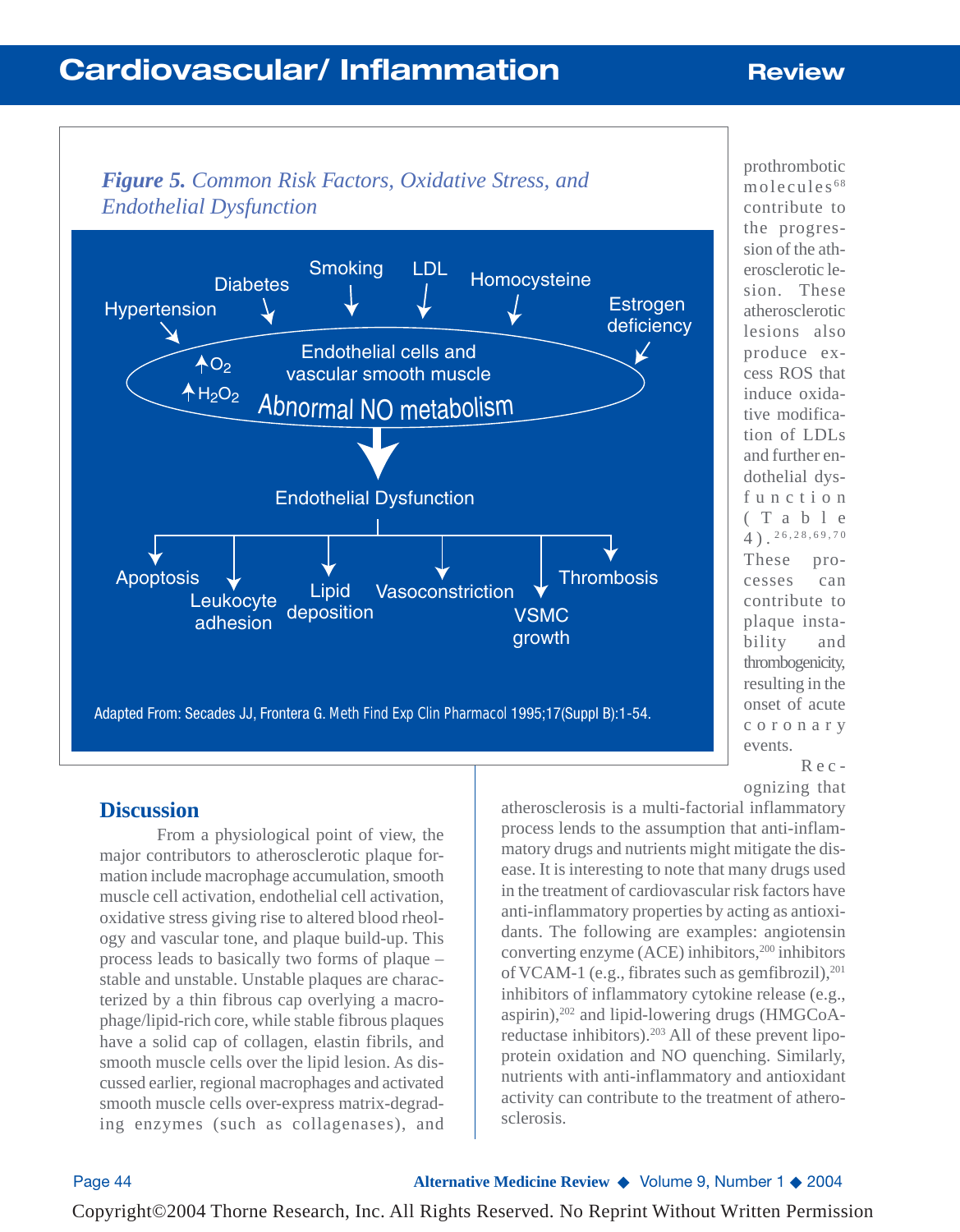# **Cardiovascular/ Inflammation Review**



prothrombotic molecules <sup>68</sup> contribute to the progression of the atherosclerotic lesion. These atherosclerotic lesions also produce excess ROS that induce oxidative modification of LDLs and further endothelial dysfunction (Table 4). 26,28,69,70 These processes can contribute to plaque instability and thrombogenicity, resulting in the onset of acute coronary events. Rec-

### **Discussion**

From a physiological point of view, the major contributors to atherosclerotic plaque formation include macrophage accumulation, smooth muscle cell activation, endothelial cell activation, oxidative stress giving rise to altered blood rheology and vascular tone, and plaque build-up. This process leads to basically two forms of plaque – stable and unstable. Unstable plaques are characterized by a thin fibrous cap overlying a macrophage/lipid-rich core, while stable fibrous plaques have a solid cap of collagen, elastin fibrils, and smooth muscle cells over the lipid lesion. As discussed earlier, regional macrophages and activated smooth muscle cells over-express matrix-degrading enzymes (such as collagenases), and

ognizing that

atherosclerosis is a multi-factorial inflammatory process lends to the assumption that anti-inflammatory drugs and nutrients might mitigate the disease. It is interesting to note that many drugs used in the treatment of cardiovascular risk factors have anti-inflammatory properties by acting as antioxidants. The following are examples: angiotensin converting enzyme  $(ACE)$  inhibitors,<sup>200</sup> inhibitors of VCAM-1 (e.g., fibrates such as gemfibrozil), $^{201}$ inhibitors of inflammatory cytokine release (e.g., aspirin),<sup>202</sup> and lipid-lowering drugs (HMGCoAreductase inhibitors).<sup>203</sup> All of these prevent lipoprotein oxidation and NO quenching. Similarly, nutrients with anti-inflammatory and antioxidant activity can contribute to the treatment of atherosclerosis.

Page 44 **Alternative Medicine Review** ◆ Volume 9, Number 1 ◆ 2004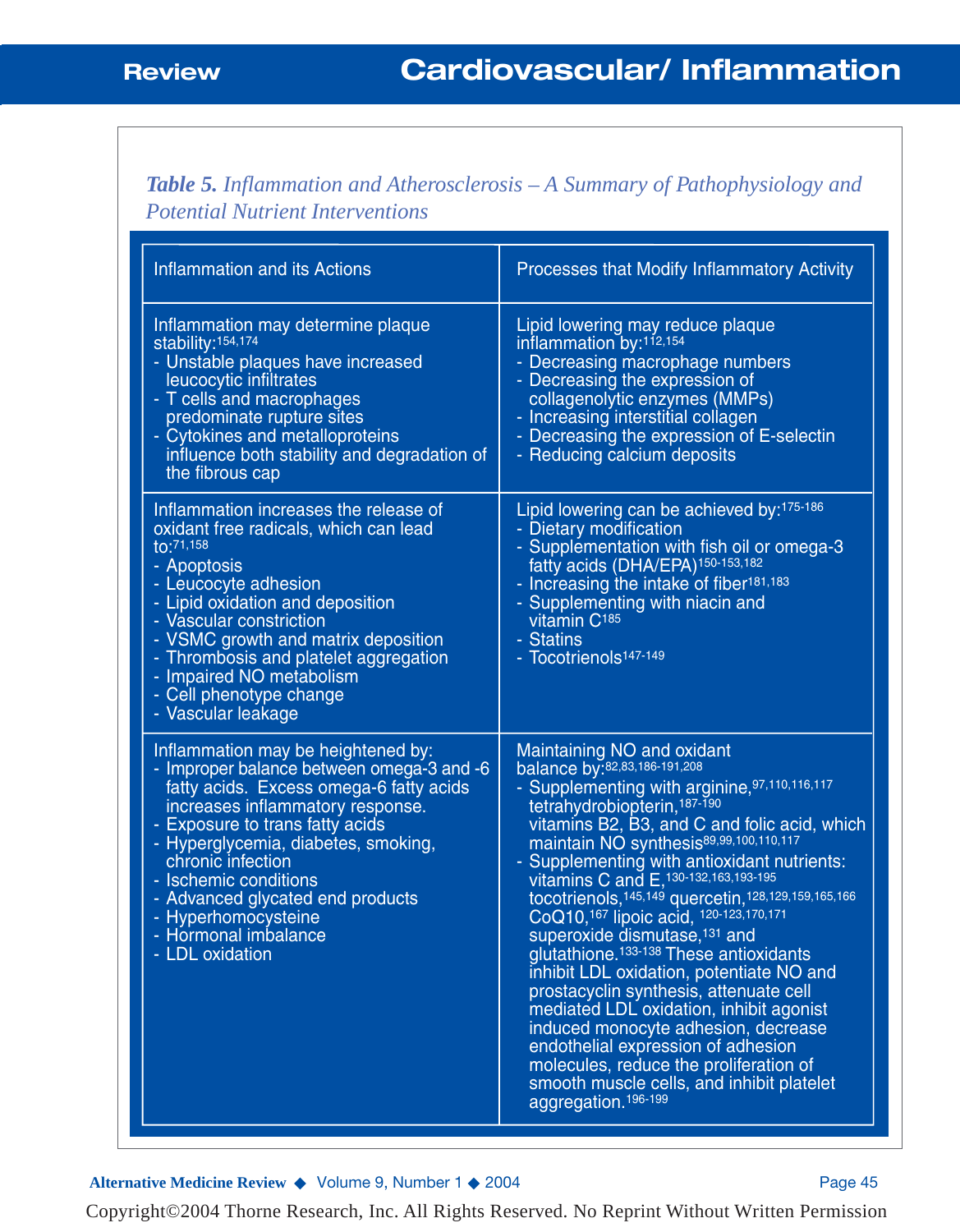*Table 5. Inflammation and Atherosclerosis – A Summary of Pathophysiology and Potential Nutrient Interventions*

| <b>Inflammation and its Actions</b>                                                                                                                                                                                                                                                                                                                                                          | Processes that Modify Inflammatory Activity                                                                                                                                                                                                                                                                                                                                                                                                                                                                                                                                                                                                                                                                                                                                                                                                                                                                         |
|----------------------------------------------------------------------------------------------------------------------------------------------------------------------------------------------------------------------------------------------------------------------------------------------------------------------------------------------------------------------------------------------|---------------------------------------------------------------------------------------------------------------------------------------------------------------------------------------------------------------------------------------------------------------------------------------------------------------------------------------------------------------------------------------------------------------------------------------------------------------------------------------------------------------------------------------------------------------------------------------------------------------------------------------------------------------------------------------------------------------------------------------------------------------------------------------------------------------------------------------------------------------------------------------------------------------------|
| Inflammation may determine plaque<br>stability: 154,174<br>- Unstable plaques have increased<br>leucocytic infiltrates<br>- T cells and macrophages<br>predominate rupture sites<br>- Cytokines and metalloproteins<br>influence both stability and degradation of<br>the fibrous cap                                                                                                        | Lipid lowering may reduce plaque<br>inflammation by: <sup>112,154</sup><br>- Decreasing macrophage numbers<br>- Decreasing the expression of<br>collagenolytic enzymes (MMPs)<br>- Increasing interstitial collagen<br>- Decreasing the expression of E-selectin<br>- Reducing calcium deposits                                                                                                                                                                                                                                                                                                                                                                                                                                                                                                                                                                                                                     |
| Inflammation increases the release of<br>oxidant free radicals, which can lead<br>to:71,158<br>- Apoptosis<br>- Leucocyte adhesion<br>- Lipid oxidation and deposition<br>- Vascular constriction<br>- VSMC growth and matrix deposition<br>- Thrombosis and platelet aggregation<br>- Impaired NO metabolism<br>- Cell phenotype change<br>- Vascular leakage                               | Lipid lowering can be achieved by: 175-186<br>- Dietary modification<br>- Supplementation with fish oil or omega-3<br>fatty acids (DHA/EPA) <sup>150-153,182</sup><br>- Increasing the intake of fiber <sup>181,183</sup><br>- Supplementing with niacin and<br>vitamin C <sup>185</sup><br>- Statins<br>- Tocotrienols <sup>147-149</sup>                                                                                                                                                                                                                                                                                                                                                                                                                                                                                                                                                                          |
| Inflammation may be heightened by:<br>- Improper balance between omega-3 and -6<br>fatty acids. Excess omega-6 fatty acids<br>increases inflammatory response.<br>- Exposure to trans fatty acids<br>- Hyperglycemia, diabetes, smoking,<br>chronic infection<br>- Ischemic conditions<br>- Advanced glycated end products<br>- Hyperhomocysteine<br>- Hormonal imbalance<br>- LDL oxidation | Maintaining NO and oxidant<br>balance by:82,83,186-191,208<br>- Supplementing with arginine, 97,110,116,117<br>tetrahydrobiopterin, 187-190<br>vitamins B2, B3, and C and folic acid, which<br>maintain NO synthesis <sup>89,99,100,110,117</sup><br>- Supplementing with antioxidant nutrients:<br>vitamins C and E, 130-132, 163, 193-195<br>tocotrienols, 145, 149 quercetin, 128, 129, 159, 165, 166<br>CoQ10, <sup>167</sup> lipoic acid, <sup>120-123,170,171</sup><br>superoxide dismutase, <sup>131</sup> and<br>glutathione. <sup>133-138</sup> These antioxidants<br>inhibit LDL oxidation, potentiate NO and<br>prostacyclin synthesis, attenuate cell<br>mediated LDL oxidation, inhibit agonist<br>induced monocyte adhesion, decrease<br>endothelial expression of adhesion<br>molecules, reduce the proliferation of<br>smooth muscle cells, and inhibit platelet<br>aggregation. <sup>196-199</sup> |

Alternative Medicine Review ◆ Volume 9, Number 1 ◆ 2004 Page 45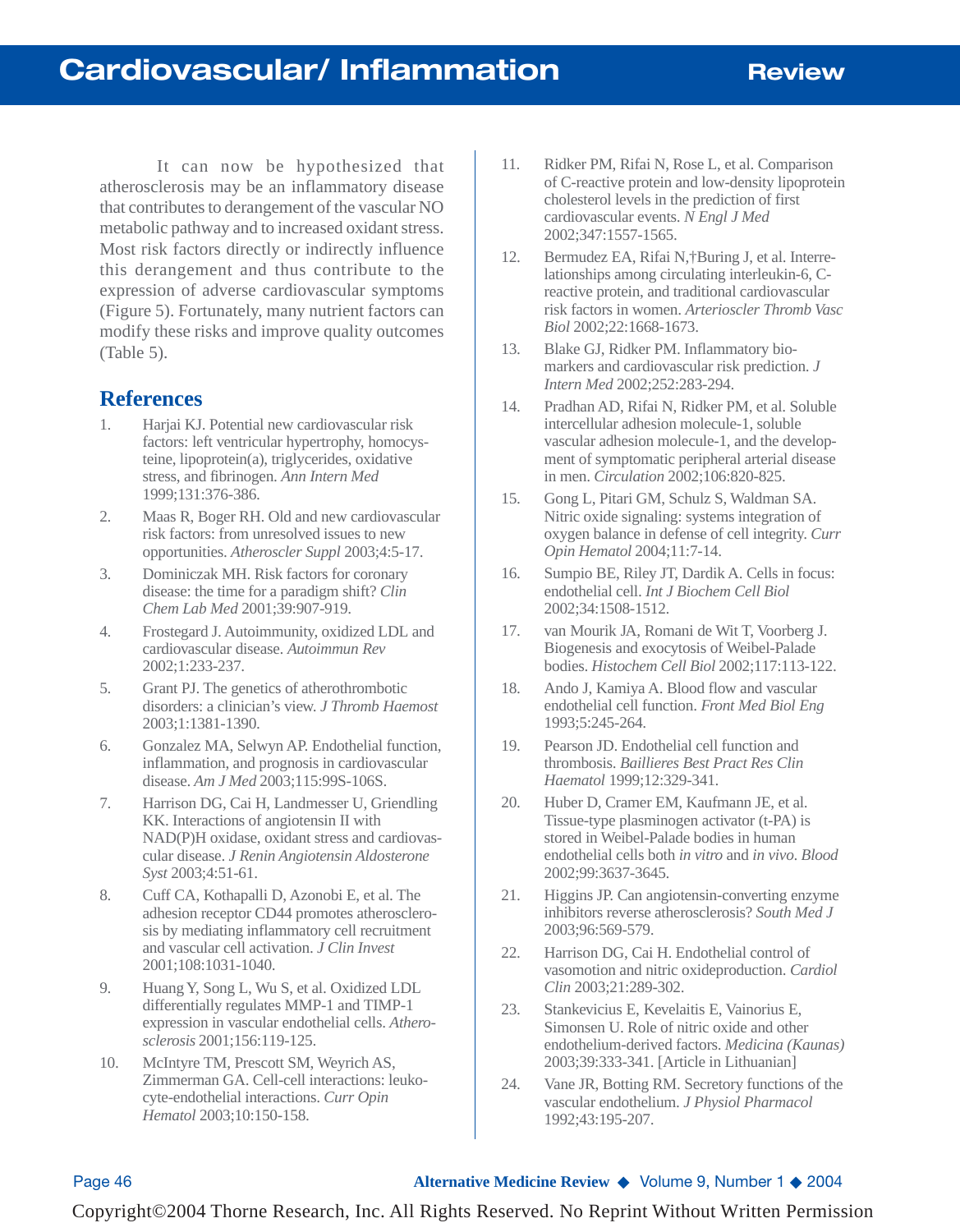It can now be hypothesized that atherosclerosis may be an inflammatory disease that contributes to derangement of the vascular NO metabolic pathway and to increased oxidant stress. Most risk factors directly or indirectly influence this derangement and thus contribute to the expression of adverse cardiovascular symptoms (Figure 5). Fortunately, many nutrient factors can modify these risks and improve quality outcomes (Table 5).

### **References**

- 1. Harjai KJ. Potential new cardiovascular risk factors: left ventricular hypertrophy, homocysteine, lipoprotein(a), triglycerides, oxidative stress, and fibrinogen. *Ann Intern Med* 1999;131:376-386.
- 2. Maas R, Boger RH. Old and new cardiovascular risk factors: from unresolved issues to new opportunities. *Atheroscler Suppl* 2003;4:5-17.
- 3. Dominiczak MH. Risk factors for coronary disease: the time for a paradigm shift? *Clin Chem Lab Med* 2001;39:907-919.
- 4. Frostegard J. Autoimmunity, oxidized LDL and cardiovascular disease. *Autoimmun Rev* 2002;1:233-237.
- 5. Grant PJ. The genetics of atherothrombotic disorders: a clinician's view. *J Thromb Haemost* 2003;1:1381-1390.
- 6. Gonzalez MA, Selwyn AP. Endothelial function, inflammation, and prognosis in cardiovascular disease. *Am J Med* 2003;115:99S-106S.
- 7. Harrison DG, Cai H, Landmesser U, Griendling KK. Interactions of angiotensin II with NAD(P)H oxidase, oxidant stress and cardiovascular disease. *J Renin Angiotensin Aldosterone Syst* 2003;4:51-61.
- 8. Cuff CA, Kothapalli D, Azonobi E, et al. The adhesion receptor CD44 promotes atherosclerosis by mediating inflammatory cell recruitment and vascular cell activation. *J Clin Invest* 2001;108:1031-1040.
- 9. Huang Y, Song L, Wu S, et al. Oxidized LDL differentially regulates MMP-1 and TIMP-1 expression in vascular endothelial cells. *Atherosclerosis* 2001;156:119-125.
- 10. McIntyre TM, Prescott SM, Weyrich AS, Zimmerman GA. Cell-cell interactions: leukocyte-endothelial interactions. *Curr Opin Hematol* 2003;10:150-158.
- 11. Ridker PM, Rifai N, Rose L, et al. Comparison of C-reactive protein and low-density lipoprotein cholesterol levels in the prediction of first cardiovascular events. *N Engl J Med* 2002;347:1557-1565.
- 12. Bermudez EA, Rifai N,†Buring J, et al. Interrelationships among circulating interleukin-6, Creactive protein, and traditional cardiovascular risk factors in women. *Arterioscler Thromb Vasc Biol* 2002;22:1668-1673.
- 13. Blake GJ, Ridker PM. Inflammatory biomarkers and cardiovascular risk prediction. *J Intern Med* 2002;252:283-294.
- 14. Pradhan AD, Rifai N, Ridker PM, et al. Soluble intercellular adhesion molecule-1, soluble vascular adhesion molecule-1, and the development of symptomatic peripheral arterial disease in men. *Circulation* 2002;106:820-825.
- 15. Gong L, Pitari GM, Schulz S, Waldman SA. Nitric oxide signaling: systems integration of oxygen balance in defense of cell integrity. *Curr Opin Hematol* 2004;11:7-14.
- 16. Sumpio BE, Riley JT, Dardik A. Cells in focus: endothelial cell. *Int J Biochem Cell Biol* 2002;34:1508-1512.
- 17. van Mourik JA, Romani de Wit T, Voorberg J. Biogenesis and exocytosis of Weibel-Palade bodies. *Histochem Cell Biol* 2002;117:113-122.
- 18. Ando J, Kamiya A. Blood flow and vascular endothelial cell function. *Front Med Biol Eng* 1993;5:245-264.
- 19. Pearson JD. Endothelial cell function and thrombosis. *Baillieres Best Pract Res Clin Haematol* 1999;12:329-341.
- 20. Huber D, Cramer EM, Kaufmann JE, et al. Tissue-type plasminogen activator (t-PA) is stored in Weibel-Palade bodies in human endothelial cells both *in vitro* and *in vivo*. *Blood* 2002;99:3637-3645.
- 21. Higgins JP. Can angiotensin-converting enzyme inhibitors reverse atherosclerosis? *South Med J* 2003;96:569-579.
- 22. Harrison DG, Cai H. Endothelial control of vasomotion and nitric oxideproduction. *Cardiol Clin* 2003;21:289-302.
- 23. Stankevicius E, Kevelaitis E, Vainorius E, Simonsen U. Role of nitric oxide and other endothelium-derived factors. *Medicina (Kaunas)* 2003;39:333-341. [Article in Lithuanian]
- 24. Vane JR, Botting RM. Secretory functions of the vascular endothelium. *J Physiol Pharmacol* 1992;43:195-207.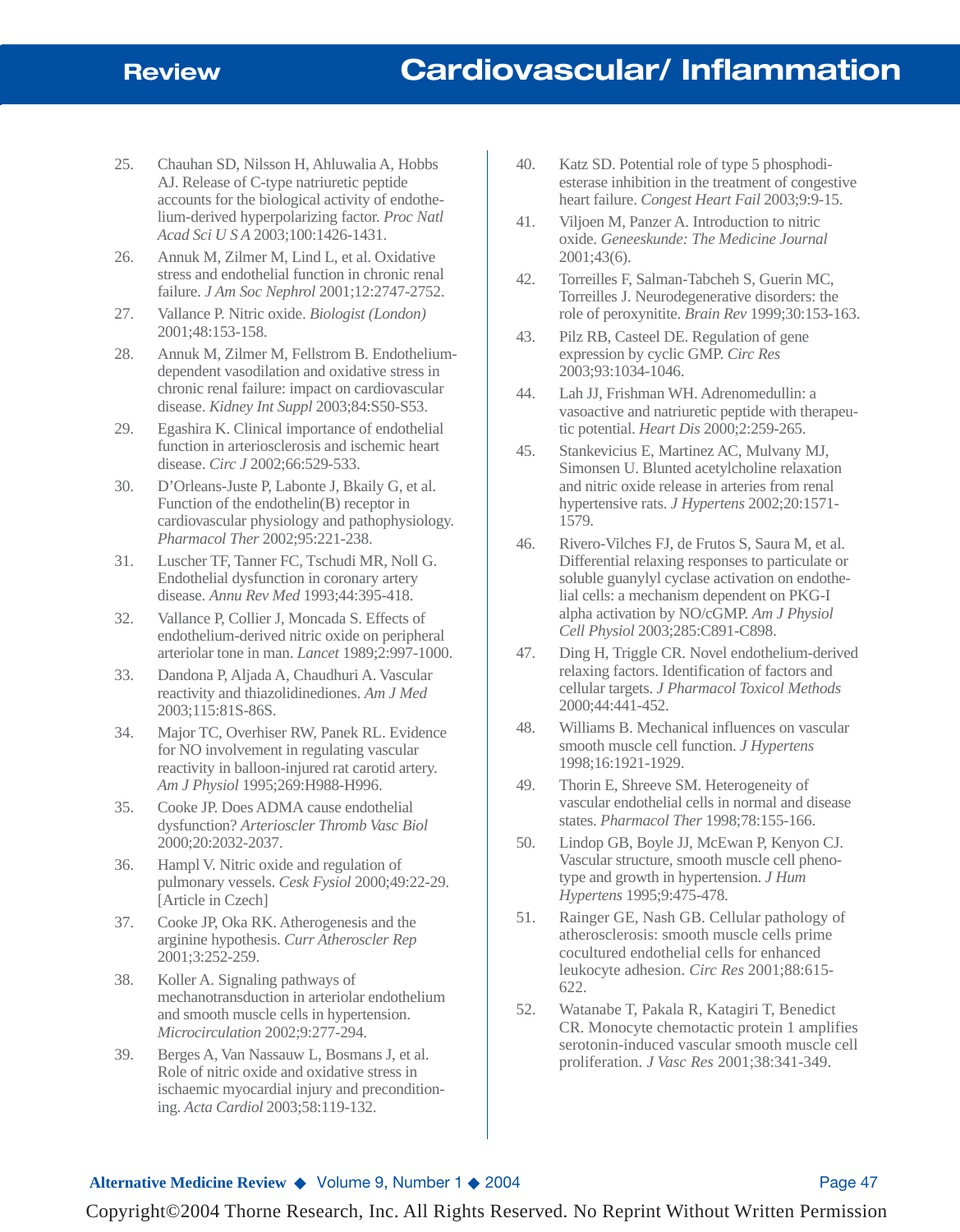- 25. Chauhan SD, Nilsson H, Ahluwalia A, Hobbs AJ. Release of C-type natriuretic peptide accounts for the biological activity of endothelium-derived hyperpolarizing factor. *Proc Natl Acad Sci U S A* 2003;100:1426-1431.
- 26. Annuk M, Zilmer M, Lind L, et al. Oxidative stress and endothelial function in chronic renal failure. *J Am Soc Nephrol* 2001;12:2747-2752.
- 27. Vallance P. Nitric oxide. *Biologist (London)* 2001;48:153-158.
- 28. Annuk M, Zilmer M, Fellstrom B. Endotheliumdependent vasodilation and oxidative stress in chronic renal failure: impact on cardiovascular disease. *Kidney Int Suppl* 2003;84:S50-S53.
- 29. Egashira K. Clinical importance of endothelial function in arteriosclerosis and ischemic heart disease. *Circ J* 2002;66:529-533.
- 30. D'Orleans-Juste P, Labonte J, Bkaily G, et al. Function of the endothelin(B) receptor in cardiovascular physiology and pathophysiology. *Pharmacol Ther* 2002;95:221-238.
- 31. Luscher TF, Tanner FC, Tschudi MR, Noll G. Endothelial dysfunction in coronary artery disease. *Annu Rev Med* 1993;44:395-418.
- 32. Vallance P, Collier J, Moncada S. Effects of endothelium-derived nitric oxide on peripheral arteriolar tone in man. *Lancet* 1989;2:997-1000.
- 33. Dandona P, Aljada A, Chaudhuri A. Vascular reactivity and thiazolidinediones. *Am J Med* 2003;115:81S-86S.
- 34. Major TC, Overhiser RW, Panek RL. Evidence for NO involvement in regulating vascular reactivity in balloon-injured rat carotid artery. *Am J Physiol* 1995;269:H988-H996.
- 35. Cooke JP. Does ADMA cause endothelial dysfunction? *Arterioscler Thromb Vasc Biol* 2000;20:2032-2037.
- 36. Hampl V. Nitric oxide and regulation of pulmonary vessels. *Cesk Fysiol* 2000;49:22-29. [Article in Czech]
- 37. Cooke JP, Oka RK. Atherogenesis and the arginine hypothesis. *Curr Atheroscler Rep* 2001;3:252-259.
- 38. Koller A. Signaling pathways of mechanotransduction in arteriolar endothelium and smooth muscle cells in hypertension. *Microcirculation* 2002;9:277-294.
- 39. Berges A, Van Nassauw L, Bosmans J, et al. Role of nitric oxide and oxidative stress in ischaemic myocardial injury and preconditioning. *Acta Cardiol* 2003;58:119-132.
- 40. Katz SD. Potential role of type 5 phosphodiesterase inhibition in the treatment of congestive heart failure. *Congest Heart Fail* 2003;9:9-15.
- 41. Viljoen M, Panzer A. Introduction to nitric oxide. *Geneeskunde: The Medicine Journal* 2001;43(6).
- 42. Torreilles F, Salman-Tabcheh S, Guerin MC, Torreilles J. Neurodegenerative disorders: the role of peroxynitite. *Brain Rev* 1999;30:153-163.
- 43. Pilz RB, Casteel DE. Regulation of gene expression by cyclic GMP. *Circ Res* 2003;93:1034-1046.
- 44. Lah JJ, Frishman WH. Adrenomedullin: a vasoactive and natriuretic peptide with therapeutic potential. *Heart Dis* 2000;2:259-265.
- 45. Stankevicius E, Martinez AC, Mulvany MJ, Simonsen U. Blunted acetylcholine relaxation and nitric oxide release in arteries from renal hypertensive rats. *J Hypertens* 2002;20:1571- 1579.
- 46. Rivero-Vilches FJ, de Frutos S, Saura M, et al. Differential relaxing responses to particulate or soluble guanylyl cyclase activation on endothelial cells: a mechanism dependent on PKG-I alpha activation by NO/cGMP. *Am J Physiol Cell Physiol* 2003;285:C891-C898.
- 47. Ding H, Triggle CR. Novel endothelium-derived relaxing factors. Identification of factors and cellular targets. *J Pharmacol Toxicol Methods* 2000;44:441-452.
- 48. Williams B. Mechanical influences on vascular smooth muscle cell function. *J Hypertens* 1998;16:1921-1929.
- 49. Thorin E, Shreeve SM. Heterogeneity of vascular endothelial cells in normal and disease states. *Pharmacol Ther* 1998;78:155-166.
- 50. Lindop GB, Boyle JJ, McEwan P, Kenyon CJ. Vascular structure, smooth muscle cell phenotype and growth in hypertension. *J Hum Hypertens* 1995;9:475-478.
- 51. Rainger GE, Nash GB. Cellular pathology of atherosclerosis: smooth muscle cells prime cocultured endothelial cells for enhanced leukocyte adhesion. *Circ Res* 2001;88:615- 622.
- 52. Watanabe T, Pakala R, Katagiri T, Benedict CR. Monocyte chemotactic protein 1 amplifies serotonin-induced vascular smooth muscle cell proliferation. *J Vasc Res* 2001;38:341-349.

#### **Alternative Medicine Review ◆ Volume 9, Number 1 ◆ 2004** Page 47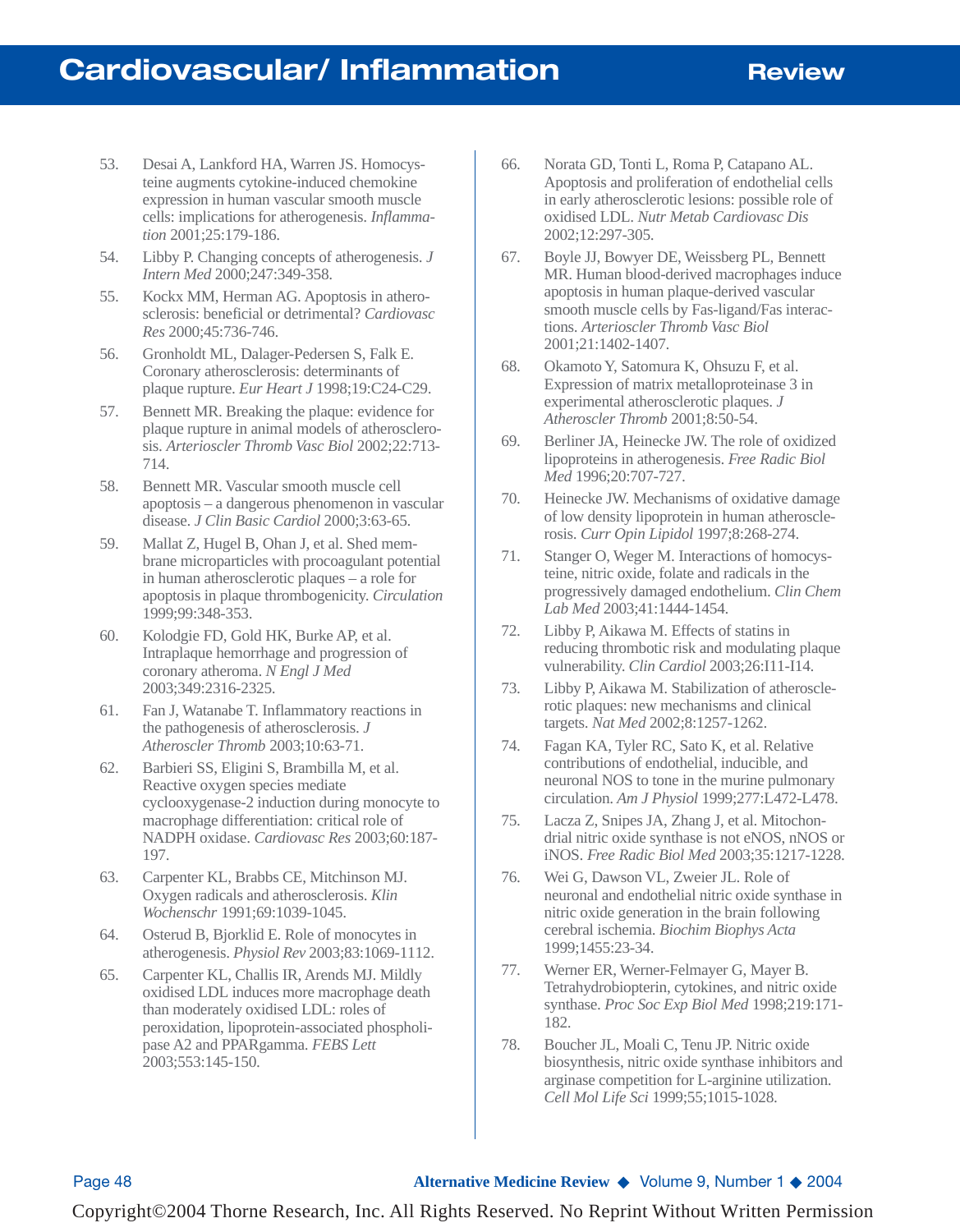- 53. Desai A, Lankford HA, Warren JS. Homocysteine augments cytokine-induced chemokine expression in human vascular smooth muscle cells: implications for atherogenesis. *Inflammation* 2001;25:179-186.
- 54. Libby P. Changing concepts of atherogenesis. *J Intern Med* 2000;247:349-358.
- 55. Kockx MM, Herman AG. Apoptosis in atherosclerosis: beneficial or detrimental? *Cardiovasc Res* 2000;45:736-746.
- 56. Gronholdt ML, Dalager-Pedersen S, Falk E. Coronary atherosclerosis: determinants of plaque rupture. *Eur Heart J* 1998;19:C24-C29.
- 57. Bennett MR. Breaking the plaque: evidence for plaque rupture in animal models of atherosclerosis. *Arterioscler Thromb Vasc Biol* 2002;22:713- 714.
- 58. Bennett MR. Vascular smooth muscle cell apoptosis – a dangerous phenomenon in vascular disease. *J Clin Basic Cardiol* 2000;3:63-65.
- 59. Mallat Z, Hugel B, Ohan J, et al. Shed membrane microparticles with procoagulant potential in human atherosclerotic plaques – a role for apoptosis in plaque thrombogenicity. *Circulation* 1999;99:348-353.
- 60. Kolodgie FD, Gold HK, Burke AP, et al. Intraplaque hemorrhage and progression of coronary atheroma. *N Engl J Med* 2003;349:2316-2325.
- 61. Fan J, Watanabe T. Inflammatory reactions in the pathogenesis of atherosclerosis. *J Atheroscler Thromb* 2003;10:63-71.
- 62. Barbieri SS, Eligini S, Brambilla M, et al. Reactive oxygen species mediate cyclooxygenase-2 induction during monocyte to macrophage differentiation: critical role of NADPH oxidase. *Cardiovasc Res* 2003;60:187- 197.
- 63. Carpenter KL, Brabbs CE, Mitchinson MJ. Oxygen radicals and atherosclerosis. *Klin Wochenschr* 1991;69:1039-1045.
- 64. Osterud B, Bjorklid E. Role of monocytes in atherogenesis. *Physiol Rev* 2003;83:1069-1112.
- 65. Carpenter KL, Challis IR, Arends MJ. Mildly oxidised LDL induces more macrophage death than moderately oxidised LDL: roles of peroxidation, lipoprotein-associated phospholipase A2 and PPARgamma. *FEBS Lett* 2003;553:145-150.
- 66. Norata GD, Tonti L, Roma P, Catapano AL. Apoptosis and proliferation of endothelial cells in early atherosclerotic lesions: possible role of oxidised LDL. *Nutr Metab Cardiovasc Dis* 2002;12:297-305.
- 67. Boyle JJ, Bowyer DE, Weissberg PL, Bennett MR. Human blood-derived macrophages induce apoptosis in human plaque-derived vascular smooth muscle cells by Fas-ligand/Fas interactions. *Arterioscler Thromb Vasc Biol* 2001;21:1402-1407.
- 68. Okamoto Y, Satomura K, Ohsuzu F, et al. Expression of matrix metalloproteinase 3 in experimental atherosclerotic plaques. *J Atheroscler Thromb* 2001;8:50-54.
- 69. Berliner JA, Heinecke JW. The role of oxidized lipoproteins in atherogenesis. *Free Radic Biol Med* 1996;20:707-727.
- 70. Heinecke JW. Mechanisms of oxidative damage of low density lipoprotein in human atherosclerosis. *Curr Opin Lipidol* 1997;8:268-274.
- 71. Stanger O, Weger M. Interactions of homocysteine, nitric oxide, folate and radicals in the progressively damaged endothelium. *Clin Chem Lab Med* 2003;41:1444-1454.
- 72. Libby P, Aikawa M. Effects of statins in reducing thrombotic risk and modulating plaque vulnerability. *Clin Cardiol* 2003;26:I11-I14.
- 73. Libby P, Aikawa M. Stabilization of atherosclerotic plaques: new mechanisms and clinical targets. *Nat Med* 2002;8:1257-1262.
- 74. Fagan KA, Tyler RC, Sato K, et al. Relative contributions of endothelial, inducible, and neuronal NOS to tone in the murine pulmonary circulation. *Am J Physiol* 1999;277:L472-L478.
- 75. Lacza Z, Snipes JA, Zhang J, et al. Mitochondrial nitric oxide synthase is not eNOS, nNOS or iNOS. *Free Radic Biol Med* 2003;35:1217-1228.
- 76. Wei G, Dawson VL, Zweier JL. Role of neuronal and endothelial nitric oxide synthase in nitric oxide generation in the brain following cerebral ischemia. *Biochim Biophys Acta* 1999;1455:23-34.
- 77. Werner ER, Werner-Felmayer G, Mayer B. Tetrahydrobiopterin, cytokines, and nitric oxide synthase. *Proc Soc Exp Biol Med* 1998;219:171- 182.
- 78. Boucher JL, Moali C, Tenu JP. Nitric oxide biosynthesis, nitric oxide synthase inhibitors and arginase competition for L-arginine utilization. *Cell Mol Life Sci* 1999;55;1015-1028.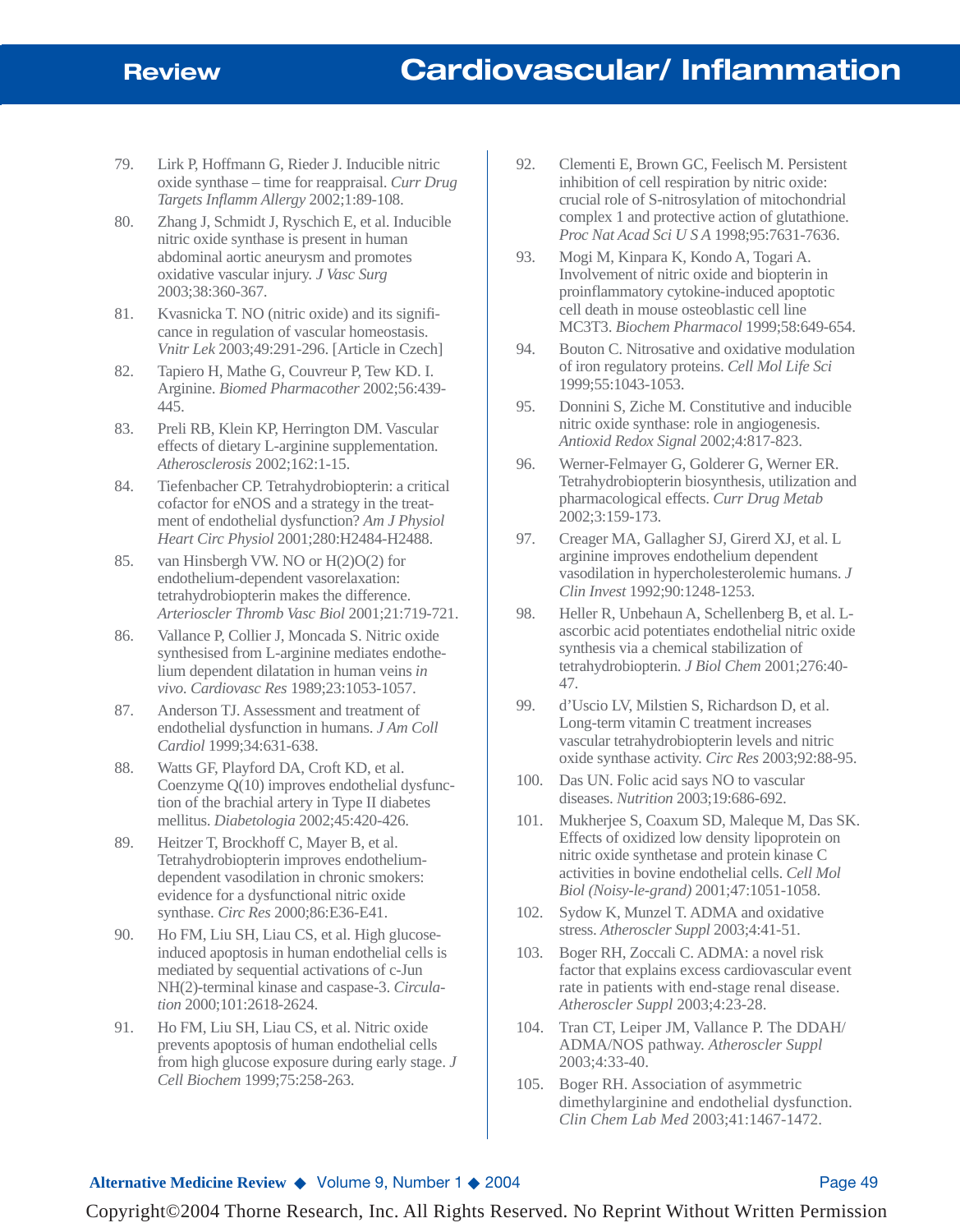- 79. Lirk P, Hoffmann G, Rieder J. Inducible nitric oxide synthase – time for reappraisal. *Curr Drug Targets Inflamm Allergy* 2002;1:89-108.
- 80. Zhang J, Schmidt J, Ryschich E, et al. Inducible nitric oxide synthase is present in human abdominal aortic aneurysm and promotes oxidative vascular injury. *J Vasc Surg* 2003;38:360-367.
- 81. Kvasnicka T. NO (nitric oxide) and its significance in regulation of vascular homeostasis. *Vnitr Lek* 2003;49:291-296. [Article in Czech]
- 82. Tapiero H, Mathe G, Couvreur P, Tew KD. I. Arginine. *Biomed Pharmacother* 2002;56:439- 445.
- 83. Preli RB, Klein KP, Herrington DM. Vascular effects of dietary L-arginine supplementation. *Atherosclerosis* 2002;162:1-15.
- 84. Tiefenbacher CP. Tetrahydrobiopterin: a critical cofactor for eNOS and a strategy in the treatment of endothelial dysfunction? *Am J Physiol Heart Circ Physiol* 2001;280:H2484-H2488.
- 85. van Hinsbergh VW. NO or H(2)O(2) for endothelium-dependent vasorelaxation: tetrahydrobiopterin makes the difference. *Arterioscler Thromb Vasc Biol* 2001;21:719-721.
- 86. Vallance P, Collier J, Moncada S. Nitric oxide synthesised from L-arginine mediates endothelium dependent dilatation in human veins *in vivo*. *Cardiovasc Res* 1989;23:1053-1057.
- 87. Anderson TJ. Assessment and treatment of endothelial dysfunction in humans. *J Am Coll Cardiol* 1999;34:631-638.
- 88. Watts GF, Playford DA, Croft KD, et al. Coenzyme Q(10) improves endothelial dysfunction of the brachial artery in Type II diabetes mellitus. *Diabetologia* 2002;45:420-426.
- 89. Heitzer T, Brockhoff C, Mayer B, et al. Tetrahydrobiopterin improves endotheliumdependent vasodilation in chronic smokers: evidence for a dysfunctional nitric oxide synthase. *Circ Res* 2000;86:E36-E41.
- 90. Ho FM, Liu SH, Liau CS, et al. High glucoseinduced apoptosis in human endothelial cells is mediated by sequential activations of c-Jun NH(2)-terminal kinase and caspase-3. *Circulation* 2000;101:2618-2624.
- 91. Ho FM, Liu SH, Liau CS, et al. Nitric oxide prevents apoptosis of human endothelial cells from high glucose exposure during early stage. *J Cell Biochem* 1999;75:258-263.
- 92. Clementi E, Brown GC, Feelisch M. Persistent inhibition of cell respiration by nitric oxide: crucial role of S-nitrosylation of mitochondrial complex 1 and protective action of glutathione. *Proc Nat Acad Sci U S A* 1998;95:7631-7636.
- 93. Mogi M, Kinpara K, Kondo A, Togari A. Involvement of nitric oxide and biopterin in proinflammatory cytokine-induced apoptotic cell death in mouse osteoblastic cell line MC3T3. *Biochem Pharmacol* 1999;58:649-654.
- 94. Bouton C. Nitrosative and oxidative modulation of iron regulatory proteins. *Cell Mol Life Sci* 1999;55:1043-1053.
- 95. Donnini S, Ziche M. Constitutive and inducible nitric oxide synthase: role in angiogenesis. *Antioxid Redox Signal* 2002;4:817-823.
- 96. Werner-Felmayer G, Golderer G, Werner ER. Tetrahydrobiopterin biosynthesis, utilization and pharmacological effects. *Curr Drug Metab* 2002;3:159-173.
- 97. Creager MA, Gallagher SJ, Girerd XJ, et al. L arginine improves endothelium dependent vasodilation in hypercholesterolemic humans. *J Clin Invest* 1992;90:1248-1253.
- 98. Heller R, Unbehaun A, Schellenberg B, et al. Lascorbic acid potentiates endothelial nitric oxide synthesis via a chemical stabilization of tetrahydrobiopterin. *J Biol Chem* 2001;276:40- 47.
- 99. d'Uscio LV, Milstien S, Richardson D, et al. Long-term vitamin C treatment increases vascular tetrahydrobiopterin levels and nitric oxide synthase activity. *Circ Res* 2003;92:88-95.
- 100. Das UN. Folic acid says NO to vascular diseases. *Nutrition* 2003;19:686-692.
- 101. Mukherjee S, Coaxum SD, Maleque M, Das SK. Effects of oxidized low density lipoprotein on nitric oxide synthetase and protein kinase C activities in bovine endothelial cells. *Cell Mol Biol (Noisy-le-grand)* 2001;47:1051-1058.
- 102. Sydow K, Munzel T. ADMA and oxidative stress. *Atheroscler Suppl* 2003;4:41-51.
- 103. Boger RH, Zoccali C. ADMA: a novel risk factor that explains excess cardiovascular event rate in patients with end-stage renal disease. *Atheroscler Suppl* 2003;4:23-28.
- 104. Tran CT, Leiper JM, Vallance P. The DDAH/ ADMA/NOS pathway. *Atheroscler Suppl* 2003;4:33-40.
- 105. Boger RH. Association of asymmetric dimethylarginine and endothelial dysfunction. *Clin Chem Lab Med* 2003;41:1467-1472.

#### **Alternative Medicine Review ◆ Volume 9, Number 1 ◆ 2004** Page 49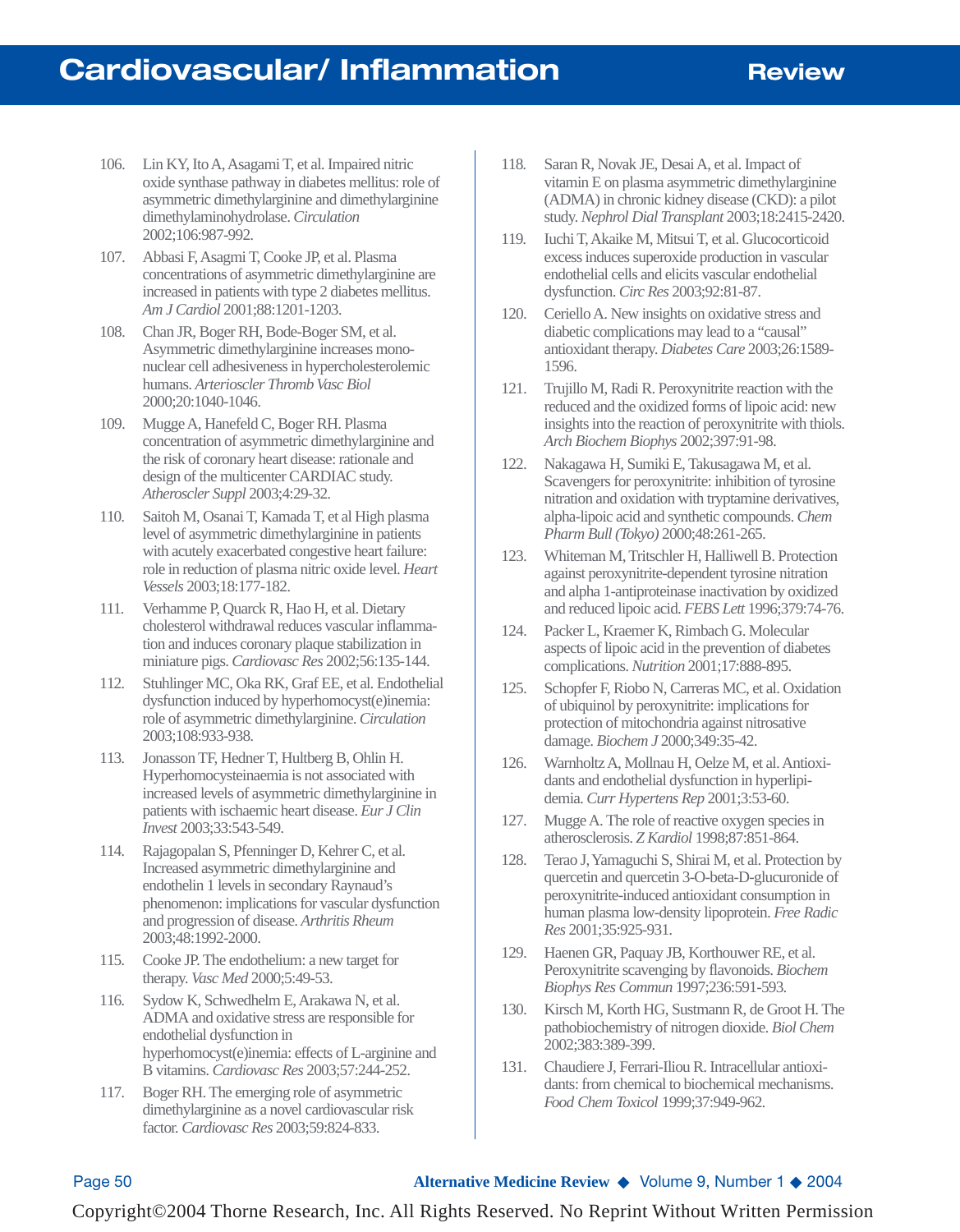- 106. Lin KY, Ito A, Asagami T, et al. Impaired nitric oxide synthase pathway in diabetes mellitus: role of asymmetric dimethylarginine and dimethylarginine dimethylaminohydrolase. *Circulation* 2002;106:987-992.
- 107. Abbasi F, Asagmi T, Cooke JP, et al. Plasma concentrations of asymmetric dimethylarginine are increased in patients with type 2 diabetes mellitus. *Am J Cardiol* 2001;88:1201-1203.
- 108. Chan JR, Boger RH, Bode-Boger SM, et al. Asymmetric dimethylarginine increases mononuclear cell adhesiveness in hypercholesterolemic humans. *Arterioscler Thromb Vasc Biol* 2000;20:1040-1046.
- 109. Mugge A, Hanefeld C, Boger RH. Plasma concentration of asymmetric dimethylarginine and the risk of coronary heart disease: rationale and design of the multicenter CARDIAC study. *Atheroscler Suppl* 2003;4:29-32.
- 110. Saitoh M, Osanai T, Kamada T, et al High plasma level of asymmetric dimethylarginine in patients with acutely exacerbated congestive heart failure: role in reduction of plasma nitric oxide level. *Heart Vessels* 2003;18:177-182.
- 111. Verhamme P, Quarck R, Hao H, et al. Dietary cholesterol withdrawal reduces vascular inflammation and induces coronary plaque stabilization in miniature pigs. *Cardiovasc Res* 2002;56:135-144.
- 112. Stuhlinger MC, Oka RK, Graf EE, et al. Endothelial dysfunction induced by hyperhomocyst(e)inemia: role of asymmetric dimethylarginine. *Circulation* 2003;108:933-938.
- 113. Jonasson TF, Hedner T, Hultberg B, Ohlin H. Hyperhomocysteinaemia is not associated with increased levels of asymmetric dimethylarginine in patients with ischaemic heart disease. *Eur J Clin Invest* 2003;33:543-549.
- 114. Rajagopalan S, Pfenninger D, Kehrer C, et al. Increased asymmetric dimethylarginine and endothelin 1 levels in secondary Raynaud's phenomenon: implications for vascular dysfunction and progression of disease. *Arthritis Rheum* 2003;48:1992-2000.
- 115. Cooke JP. The endothelium: a new target for therapy. *Vasc Med* 2000;5:49-53.
- 116. Sydow K, Schwedhelm E, Arakawa N, et al. ADMA and oxidative stress are responsible for endothelial dysfunction in hyperhomocyst(e)inemia: effects of L-arginine and B vitamins. *Cardiovasc Res* 2003;57:244-252.
- 117. Boger RH. The emerging role of asymmetric dimethylarginine as a novel cardiovascular risk factor. *Cardiovasc Res* 2003;59:824-833.
- 118. Saran R, Novak JE, Desai A, et al. Impact of vitamin E on plasma asymmetric dimethylarginine (ADMA) in chronic kidney disease (CKD): a pilot study. *Nephrol Dial Transplant* 2003;18:2415-2420.
- 119. Iuchi T, Akaike M, Mitsui T, et al. Glucocorticoid excess induces superoxide production in vascular endothelial cells and elicits vascular endothelial dysfunction. *Circ Res* 2003;92:81-87.
- 120. Ceriello A. New insights on oxidative stress and diabetic complications may lead to a "causal" antioxidant therapy. *Diabetes Care* 2003;26:1589- 1596.
- 121. Trujillo M, Radi R. Peroxynitrite reaction with the reduced and the oxidized forms of lipoic acid: new insights into the reaction of peroxynitrite with thiols. *Arch Biochem Biophys* 2002;397:91-98.
- 122. Nakagawa H, Sumiki E, Takusagawa M, et al. Scavengers for peroxynitrite: inhibition of tyrosine nitration and oxidation with tryptamine derivatives, alpha-lipoic acid and synthetic compounds. *Chem Pharm Bull (Tokyo)* 2000;48:261-265.
- 123. Whiteman M, Tritschler H, Halliwell B. Protection against peroxynitrite-dependent tyrosine nitration and alpha 1-antiproteinase inactivation by oxidized and reduced lipoic acid. *FEBS Lett* 1996;379:74-76.
- 124. Packer L, Kraemer K, Rimbach G. Molecular aspects of lipoic acid in the prevention of diabetes complications. *Nutrition* 2001;17:888-895.
- 125. Schopfer F, Riobo N, Carreras MC, et al. Oxidation of ubiquinol by peroxynitrite: implications for protection of mitochondria against nitrosative damage. *Biochem J* 2000;349:35-42.
- 126. Warnholtz A, Mollnau H, Oelze M, et al. Antioxidants and endothelial dysfunction in hyperlipidemia. *Curr Hypertens Rep* 2001;3:53-60.
- 127. Mugge A. The role of reactive oxygen species in atherosclerosis. *Z Kardiol* 1998;87:851-864.
- 128. Terao J, Yamaguchi S, Shirai M, et al. Protection by quercetin and quercetin 3-O-beta-D-glucuronide of peroxynitrite-induced antioxidant consumption in human plasma low-density lipoprotein. *Free Radic Res* 2001;35:925-931.
- 129. Haenen GR, Paquay JB, Korthouwer RE, et al. Peroxynitrite scavenging by flavonoids. *Biochem Biophys Res Commun* 1997;236:591-593.
- 130. Kirsch M, Korth HG, Sustmann R, de Groot H. The pathobiochemistry of nitrogen dioxide. *Biol Chem* 2002;383:389-399.
- 131. Chaudiere J, Ferrari-Iliou R. Intracellular antioxidants: from chemical to biochemical mechanisms. *Food Chem Toxicol* 1999;37:949-962.

#### Page 50 **Alternative Medicine Review** ◆ Volume 9, Number 1 ◆ 2004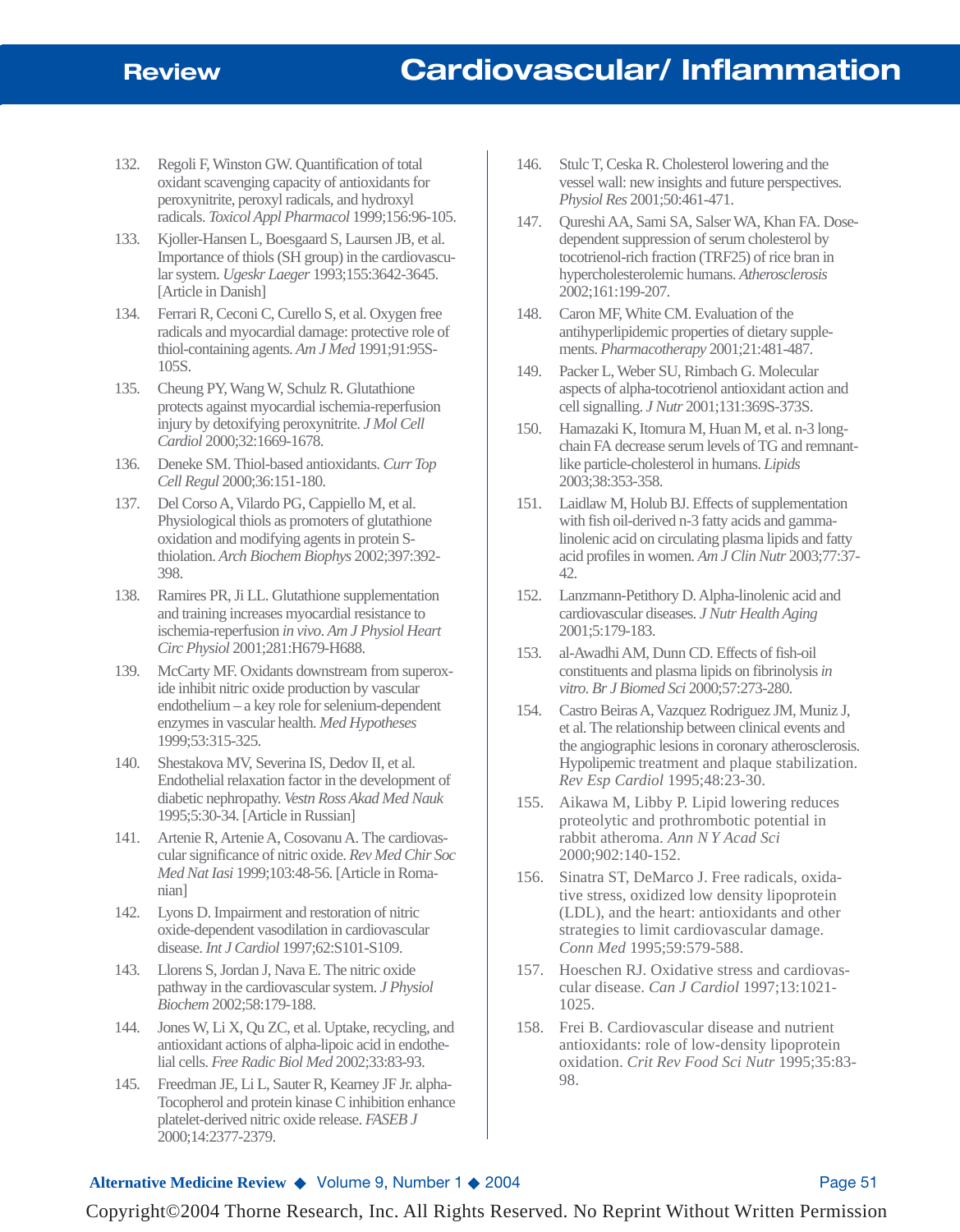- 132. Regoli F, Winston GW. Quantification of total oxidant scavenging capacity of antioxidants for peroxynitrite, peroxyl radicals, and hydroxyl radicals. *Toxicol Appl Pharmacol* 1999;156:96-105.
- 133. Kjoller-Hansen L, Boesgaard S, Laursen JB, et al. Importance of thiols (SH group) in the cardiovascular system. *Ugeskr Laeger* 1993;155:3642-3645. [Article in Danish]
- 134. Ferrari R, Ceconi C, Curello S, et al. Oxygen free radicals and myocardial damage: protective role of thiol-containing agents. *Am J Med* 1991;91:95S-105S.
- 135. Cheung PY, Wang W, Schulz R. Glutathione protects against myocardial ischemia-reperfusion injury by detoxifying peroxynitrite. *J Mol Cell Cardiol* 2000;32:1669-1678.
- 136. Deneke SM. Thiol-based antioxidants. *Curr Top Cell Regul* 2000;36:151-180.
- 137. Del Corso A, Vilardo PG, Cappiello M, et al. Physiological thiols as promoters of glutathione oxidation and modifying agents in protein Sthiolation. *Arch Biochem Biophys* 2002;397:392- 398.
- 138. Ramires PR, Ji LL. Glutathione supplementation and training increases myocardial resistance to ischemia-reperfusion *in vivo*. *Am J Physiol Heart Circ Physiol* 2001;281:H679-H688.
- 139. McCarty MF. Oxidants downstream from superoxide inhibit nitric oxide production by vascular endothelium – a key role for selenium-dependent enzymes in vascular health. *Med Hypotheses* 1999;53:315-325.
- 140. Shestakova MV, Severina IS, Dedov II, et al. Endothelial relaxation factor in the development of diabetic nephropathy. *Vestn Ross Akad Med Nauk* 1995;5:30-34. [Article in Russian]
- 141. Artenie R, Artenie A, Cosovanu A. The cardiovascular significance of nitric oxide. *Rev Med Chir Soc Med Nat Iasi* 1999;103:48-56. [Article in Romanian]
- 142. Lyons D. Impairment and restoration of nitric oxide-dependent vasodilation in cardiovascular disease. *Int J Cardiol* 1997;62:S101-S109.
- 143. Llorens S, Jordan J, Nava E. The nitric oxide pathway in the cardiovascular system. *J Physiol Biochem* 2002;58:179-188.
- 144. Jones W, Li X, Qu ZC, et al. Uptake, recycling, and antioxidant actions of alpha-lipoic acid in endothelial cells. *Free Radic Biol Med* 2002;33:83-93.
- 145. Freedman JE, Li L, Sauter R, Kearney JF Jr. alpha-Tocopherol and protein kinase C inhibition enhance platelet-derived nitric oxide release. *FASEB J* 2000;14:2377-2379.
- 146. Stulc T, Ceska R. Cholesterol lowering and the vessel wall: new insights and future perspectives. *Physiol Res* 2001;50:461-471.
- 147. Qureshi AA, Sami SA, Salser WA, Khan FA. Dosedependent suppression of serum cholesterol by tocotrienol-rich fraction (TRF25) of rice bran in hypercholesterolemic humans. *Atherosclerosis* 2002;161:199-207.
- 148. Caron MF, White CM. Evaluation of the antihyperlipidemic properties of dietary supplements. *Pharmacotherapy* 2001;21:481-487.
- 149. Packer L, Weber SU, Rimbach G. Molecular aspects of alpha-tocotrienol antioxidant action and cell signalling. *J Nutr* 2001;131:369S-373S.
- 150. Hamazaki K, Itomura M, Huan M, et al. n-3 longchain FA decrease serum levels of TG and remnantlike particle-cholesterol in humans. *Lipids* 2003;38:353-358.
- 151. Laidlaw M, Holub BJ. Effects of supplementation with fish oil-derived n-3 fatty acids and gammalinolenic acid on circulating plasma lipids and fatty acid profiles in women. *Am J Clin Nutr* 2003;77:37- 42.
- 152. Lanzmann-Petithory D. Alpha-linolenic acid and cardiovascular diseases. *J Nutr Health Aging* 2001;5:179-183.
- 153. al-Awadhi AM, Dunn CD. Effects of fish-oil constituents and plasma lipids on fibrinolysis *in vitro*. *Br J Biomed Sci* 2000;57:273-280.
- 154. Castro Beiras A, Vazquez Rodriguez JM, Muniz J, et al. The relationship between clinical events and the angiographic lesions in coronary atherosclerosis. Hypolipemic treatment and plaque stabilization. *Rev Esp Cardiol* 1995;48:23-30.
- 155. Aikawa M, Libby P. Lipid lowering reduces proteolytic and prothrombotic potential in rabbit atheroma. *Ann N Y Acad Sci* 2000;902:140-152.
- 156. Sinatra ST, DeMarco J. Free radicals, oxidative stress, oxidized low density lipoprotein (LDL), and the heart: antioxidants and other strategies to limit cardiovascular damage. *Conn Med* 1995;59:579-588.
- 157. Hoeschen RJ. Oxidative stress and cardiovascular disease. *Can J Cardiol* 1997;13:1021- 1025.
- 158. Frei B. Cardiovascular disease and nutrient antioxidants: role of low-density lipoprotein oxidation. *Crit Rev Food Sci Nutr* 1995;35:83- 98.

#### **Alternative Medicine Review ◆ Volume 9, Number 1 ◆ 2004** Page 51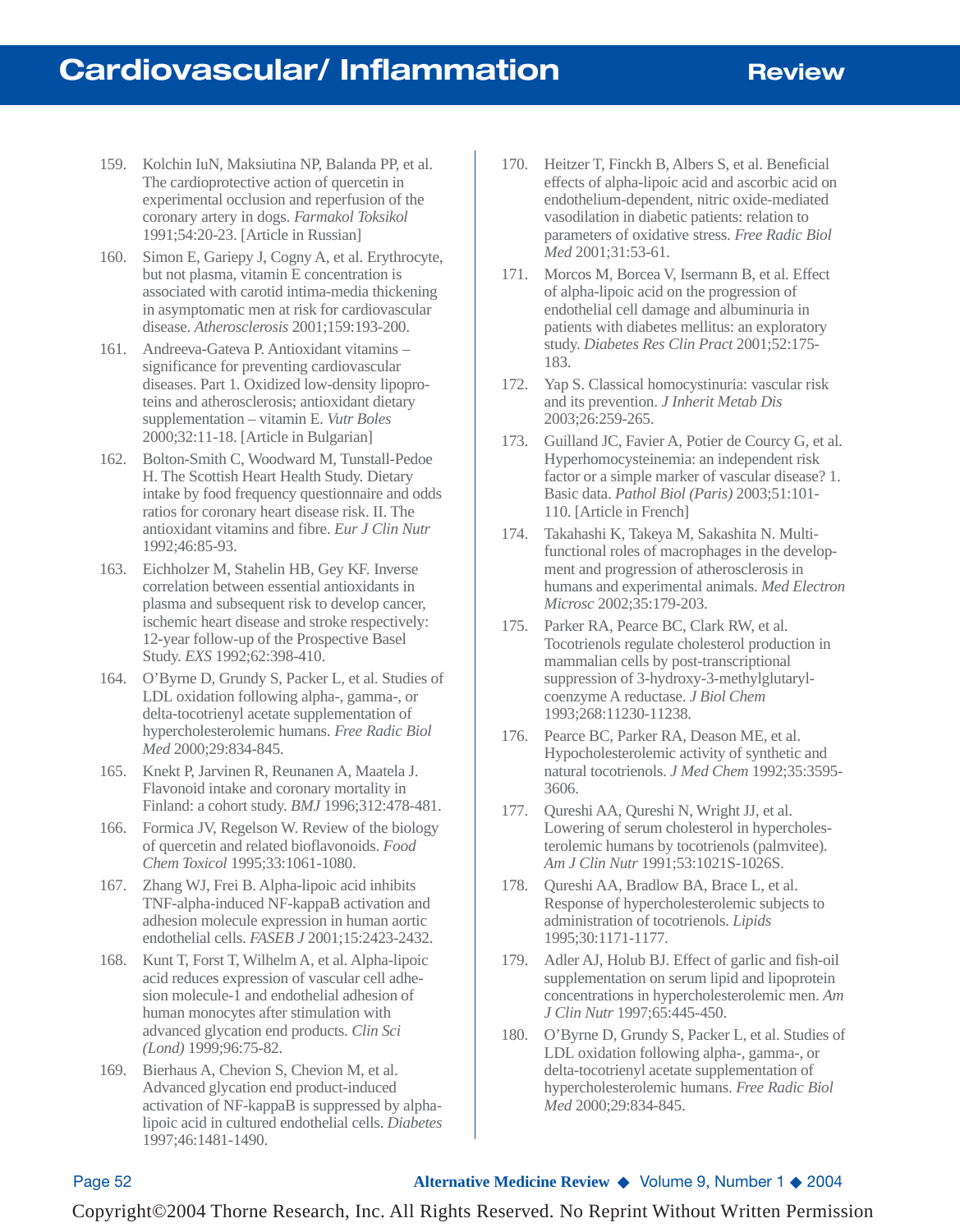- 159. Kolchin IuN, Maksiutina NP, Balanda PP, et al. The cardioprotective action of quercetin in experimental occlusion and reperfusion of the coronary artery in dogs. *Farmakol Toksikol* 1991;54:20-23. [Article in Russian]
- 160. Simon E, Gariepy J, Cogny A, et al. Erythrocyte, but not plasma, vitamin E concentration is associated with carotid intima-media thickening in asymptomatic men at risk for cardiovascular disease. *Atherosclerosis* 2001;159:193-200.
- 161. Andreeva-Gateva P. Antioxidant vitamins significance for preventing cardiovascular diseases. Part 1. Oxidized low-density lipoproteins and atherosclerosis; antioxidant dietary supplementation – vitamin E. *Vutr Boles* 2000;32:11-18. [Article in Bulgarian]
- 162. Bolton-Smith C, Woodward M, Tunstall-Pedoe H. The Scottish Heart Health Study. Dietary intake by food frequency questionnaire and odds ratios for coronary heart disease risk. II. The antioxidant vitamins and fibre. *Eur J Clin Nutr* 1992;46:85-93.
- 163. Eichholzer M, Stahelin HB, Gey KF. Inverse correlation between essential antioxidants in plasma and subsequent risk to develop cancer, ischemic heart disease and stroke respectively: 12-year follow-up of the Prospective Basel Study. *EXS* 1992;62:398-410.
- 164. O'Byrne D, Grundy S, Packer L, et al. Studies of LDL oxidation following alpha-, gamma-, or delta-tocotrienyl acetate supplementation of hypercholesterolemic humans. *Free Radic Biol Med* 2000;29:834-845.
- 165. Knekt P, Jarvinen R, Reunanen A, Maatela J. Flavonoid intake and coronary mortality in Finland: a cohort study. *BMJ* 1996;312:478-481.
- 166. Formica JV, Regelson W. Review of the biology of quercetin and related bioflavonoids. *Food Chem Toxicol* 1995;33:1061-1080.
- 167. Zhang WJ, Frei B. Alpha-lipoic acid inhibits TNF-alpha-induced NF-kappaB activation and adhesion molecule expression in human aortic endothelial cells. *FASEB J* 2001;15:2423-2432.
- 168. Kunt T, Forst T, Wilhelm A, et al. Alpha-lipoic acid reduces expression of vascular cell adhesion molecule-1 and endothelial adhesion of human monocytes after stimulation with advanced glycation end products. *Clin Sci (Lond)* 1999;96:75-82.
- 169. Bierhaus A, Chevion S, Chevion M, et al. Advanced glycation end product-induced activation of NF-kappaB is suppressed by alphalipoic acid in cultured endothelial cells. *Diabetes* 1997;46:1481-1490.
- 170. Heitzer T, Finckh B, Albers S, et al. Beneficial effects of alpha-lipoic acid and ascorbic acid on endothelium-dependent, nitric oxide-mediated vasodilation in diabetic patients: relation to parameters of oxidative stress. *Free Radic Biol Med* 2001;31:53-61.
- 171. Morcos M, Borcea V, Isermann B, et al. Effect of alpha-lipoic acid on the progression of endothelial cell damage and albuminuria in patients with diabetes mellitus: an exploratory study. *Diabetes Res Clin Pract* 2001;52:175- 183.
- 172. Yap S. Classical homocystinuria: vascular risk and its prevention. *J Inherit Metab Dis* 2003;26:259-265.
- 173. Guilland JC, Favier A, Potier de Courcy G, et al. Hyperhomocysteinemia: an independent risk factor or a simple marker of vascular disease? 1. Basic data. *Pathol Biol (Paris)* 2003;51:101- 110. [Article in French]
- 174. Takahashi K, Takeya M, Sakashita N. Multifunctional roles of macrophages in the development and progression of atherosclerosis in humans and experimental animals. *Med Electron Microsc* 2002;35:179-203.
- 175. Parker RA, Pearce BC, Clark RW, et al. Tocotrienols regulate cholesterol production in mammalian cells by post-transcriptional suppression of 3-hydroxy-3-methylglutarylcoenzyme A reductase. *J Biol Chem* 1993;268:11230-11238.
- 176. Pearce BC, Parker RA, Deason ME, et al. Hypocholesterolemic activity of synthetic and natural tocotrienols. *J Med Chem* 1992;35:3595- 3606.
- 177. Qureshi AA, Qureshi N, Wright JJ, et al. Lowering of serum cholesterol in hypercholesterolemic humans by tocotrienols (palmvitee). *Am J Clin Nutr* 1991;53:1021S-1026S.
- 178. Qureshi AA, Bradlow BA, Brace L, et al. Response of hypercholesterolemic subjects to administration of tocotrienols. *Lipids* 1995;30:1171-1177.
- 179. Adler AJ, Holub BJ. Effect of garlic and fish-oil supplementation on serum lipid and lipoprotein concentrations in hypercholesterolemic men. *Am J Clin Nutr* 1997;65:445-450.
- 180. O'Byrne D, Grundy S, Packer L, et al. Studies of LDL oxidation following alpha-, gamma-, or delta-tocotrienyl acetate supplementation of hypercholesterolemic humans. *Free Radic Biol Med* 2000;29:834-845.